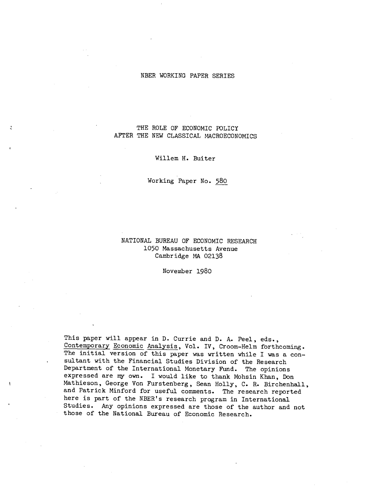# NBER WORKING PAPER SERIES

# THE ROLE OF ECONOMIC POLICY AFTER THE NEW CLASSICAL MACROECONOMICS

### Willem H. Buiter

Working Paper No. 580

# NATIONAL BUREAU OF ECONOMIC RESEARCH 1050 Massachusetts Avenue Cambridge MA 02138

November 1980

This paper will appear in D. Currie and D. A. Peel, eds., Contemporary Economic Analysis, Vol. IV, Croom—Heim forthcoming. The initial version of this paper was written while I was a consultant with the Financial Studies Division of the Research Department of the International Monetary Fund. The opinions expressed are my own. I would like to thank Mohsin Khan, Don Mathieson, George Von Furstenberg, Sean Holly, C. R. Birchenhall, and Patrick Minford for useful comments. The research reported here is part of the NBER's research program in International Studies. Any opinions expressed are those of the author and not those of the National Bureau of Economic Research.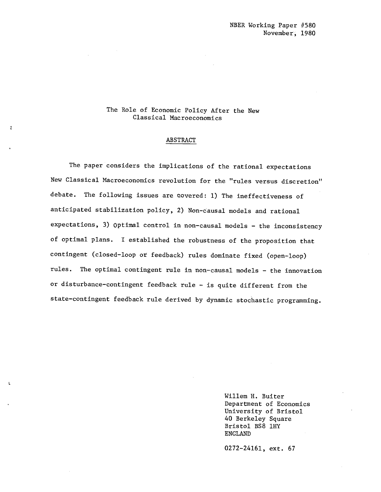# The Role of Economic Policy After the New Classical Macroeconomics

## ABSTRACT

ţ.

The paper considers the implications of the rational expectations New Classical Macroeconomics revolution for the "rules versus discretion" debate. The following issues are covered: 1) The ineffectiveness of anticipated stabilization policy, 2) Non-causal models and rational expectations, 3) Optimal control in non—causal models — the inconsistency of optimal plans. I established the robustness of the proposition that contingent (closed—loop or feedback) rules dominate fixed (open—loop) rules. The optimal contingent rule in non—causal models — the innovation or disturbance—contingent feedback rule — is quite different from the state—contingent feedback rule derived by dynamic stochastic programming.

> Willem H. Buiter Department of Economics University of Bristol 40 Berkeley Square Bristol BS8 1HY ENGLAND

0272—24161, ext. 67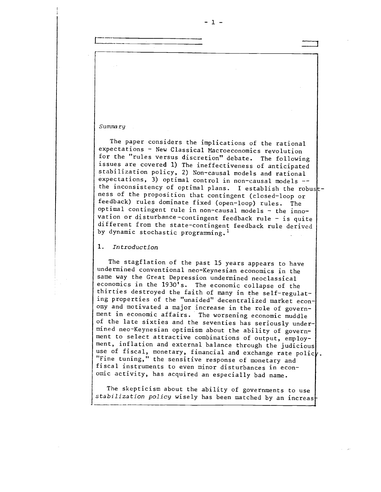Summary

The paper considers the implications of the rational expectations — New Classical Macroeconomics revolution for the "rules versus discretion" debate. The following issues are covered 1) The ineffectiveness of anticipated stabilization policy, 2) Non-causal models and rational expectations, 3) optimal control in non-causal models -the inconsistency of optimal plans. I establish the robus ness of the proposition that contingent (closed—loop or feedback) rules dominate fixed (open—loop) rules. The optimal contingent rule in non-causal models - the inno-<br>vation or disturbance-contingent feedback rule - is quite different from the state-contingent feedback rule derived by dynamic stochastic programming.<sup>1</sup>

# 1. Introduction

The stagflation of the past 15 years appears to have undermined conventional neo—Keynesian economics in the same way the Great Depression undermined neoclassical economics in the 1930's. The economic collapse of the thirties destroyed the faith of many in the self—regulating properties of the "unaided" decentralized market economy and motivated a major increase in the role of government in economic affairs. The worsening economic muddle of the late sixties and the seventies has seriously undermined neo—Keynesian optimism about the ability of government to select attractive combinations of output, employment, inflation and external balance through the judicious use of fiscal, monetary, financial and exchange rate policy. "Fine tuning," the sensitive response of monetary and fiscal instruments to even minor disturbances in economic activity, has acquired an especially bad name.

The skepticism about the ability of governments to use stabilization policy wisely has been matched by an increas

—1—

1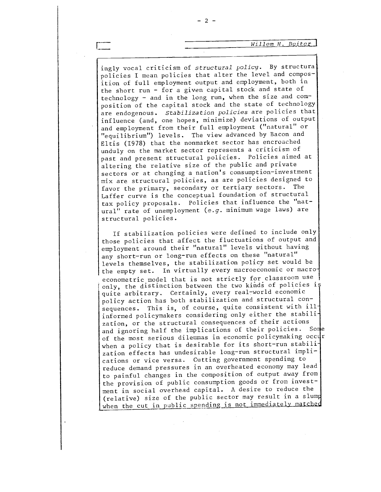ingly vocal criticism of structural policy. By structura policies I mean policies that alter the level and composition of full employment output and employment, both in the short run — for a given capital stock and state of technology - and in the long run, when the size and  $com$ position of the capital stock and the state of technology are endogenous. Stabilization policies are policies that influence (and, one hopes, minimize) deviations of output and employment from their full employment ("natural" or "equilibrium") levels. The view advanced by Bacon and Eltis (1978) that the nonmarket sector has encroached unduly on the market sector represents a criticism of past and present structural policies. Policies aimed at altering the relative size of the public and private sectors or at changing a nation's consumption-investment mix are structural policies, as are policies designed to favor the primary, secondary or tertiary sectors. The Laffer curve is the conceptual foundation of structural tax policy proposals. Policies that influence the "natural" rate of unemployment (e.g. minimum wage laws) are structural policies.

 $-2 -$ 

If stabilization policies were defined to include only those policies that affect the fluctuations of output and employment around their "natural" levels without having any short—run or long—run effects on these "natural" levels themselves, the stabilization policy set would be the empty set. In virtually every macroeconomic or macroeconometric model that is not strictly for classroom use only, the distinction between the two kinds of policies is quite arbitrary. Certainly, every real—world economic policy action has both stabilization and structural consequences. This is, of course, quite consistent with illinformed policymakers considering only either the stabili zation, or the structural consequences of their actions and ignoring half the implications of their policies. Some of the most serious dilemmas in economic policymaking occur when a policy that is desirable for its short-run stabilization effects has undesirable long—run structural implications or vice versa. Cutting government spending to reduce demand pressures in an overheated economy may lead to painful changes in the composition of output away from the provision of public consumption goods or from investment in social overhead capital. A desire to reduce the (relative) size of the public sector may result in a slum when the cut in public spending is not immediately matched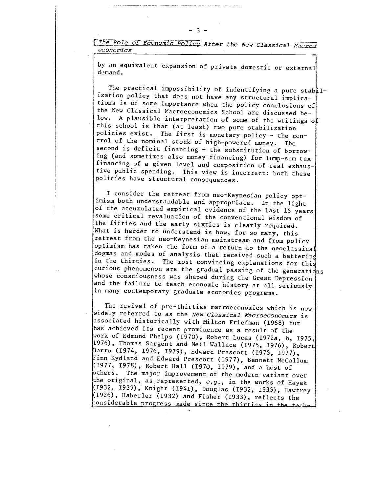The Role of Economic Policy After the New Classical Macroeconomics

by an equivalent expansion of private domestic or external demand.

The practical impossibility of indentifying a pure stabilization policy that does not have any structural implications is of some importance when the policy conclusions of the New Classical Macroeconomics School are discussed below. A plausible interpretation of some of the writings of this school is that (at least) two pure stabilization policies exist. The first is monetary policy - the con-<br>trol of the nominal stock of high-powered money. The second is deficit financing - the substitution of borrowing (and sometimes also money financing) for lump—sum tax financing of a given level and composition of real exhaustive public spending. This view is incorrect: both these policies have structural consequences.

I consider the retreat from neo—Keynesian policy opt- imism both understandable and appropriate. In the light some critical revaluation of the conventional wisdom of<br>the fifties and the early sixties is clearly required. What is harder to understand is how, for so many, this retreat from the neo—Keynesian mainstream and from policy optimism has taken the form of a return to the neoclassica dogmas and modes of analysis that received such a batterin in the thirties. The most convincing explanations for this curious phenomenon are the gradual passing of the generatj nswhose consciousness was shaped during the Great Depression and the failure to teach economic history at all seriously in many contemporary graduate economics programs.

The revival of pre-thirties macroeconomics which is now widely referred to as the New Classical Macroeconomics is associated historically with Milton Friedman (1968) but has achieved its recent prominence as a result of the work of Edmund Phelps (1970), Robert Lucas (1972a, b, 1975, 1976), Thomas Sargent and Neil Wallace (1975, 1976), Robert arro (1974, 1976, 1979), Edward Prescott (1975, 1977), inn Kydland and Edward Prescott (1977), Bennett McCallum (1977, 1978), Robert Hall (1970, 1979), and a host of pthers. The major improvement of the modern variant over the original, as represented, e.g., in the works of Hayek (1932, 1939), Knight (1941), Douglas (1932, 1935), Hawtrey (1926), Haberler (1932) and Fisher (1933), reflects the considerable progress made since the thirties in the tech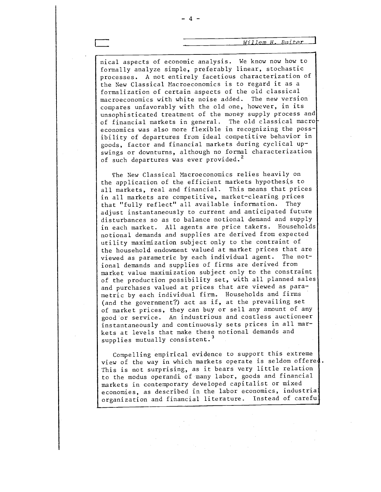nical aspects of economic analysis. We know now how to formally analyze simple, preferably linear, stochastic processes. A not entirely facetious characterization of the New Classical Macroeconomics is to regard it as a formalization of certain aspects of the old classical macroeconomics with white noise added. The new version compares unfavorably with the old one, however, in its unsophisticated treatment of the money supply process and of financial markets in general. The old classical macro economics was also more flexible in recognizing the possibility of departures from ideal competitive behavior in goods, factor and financial markets during cyclical upswings or downturns, although no formal characterization of such departures was ever provided.<sup>2</sup>

The New Classical Macroeconomics relies heavily on the application of the efficient markets hypothesis to all markets, real and financial. This means that prices in all markets are competitive, market—clearing prices that "fully reflect" all available, information. They adjust instantaneously to current and anticipated future disturbances so as to balance notional demand and supply in each market. All agents are price takers. Households notional demands and supplies are derived from expected utility maximization subject only to the contraint of the household endowment valued at market prices that are viewed as parametric by each individual agent. The notional demands and supplies of firms are derived from market value maximization subject only to the constraint of the production possibility set, with all planned sales and purchases valued at prices that are viewed as parametric by each individual firm. Households and firms (and the government?) act as if, at the prevailing set of market prices, they can buy or sell any amount of any good or service. An industrious and costless auctioneer instantaneously and continuously sets prices in all markets at levels that make these notional demands and supplies mutually consistent.

Compelling empirical evidence to support this extreme view of the way in which markets operate is seldom offered. This is not surprising, as it bears very little relation to the modus operandi of many labor, goods and financial markets in contemporary developed capitalist or mixed economies, as described in the labor economics, industria organization and financial literature. Instead of carefu

 $-4-$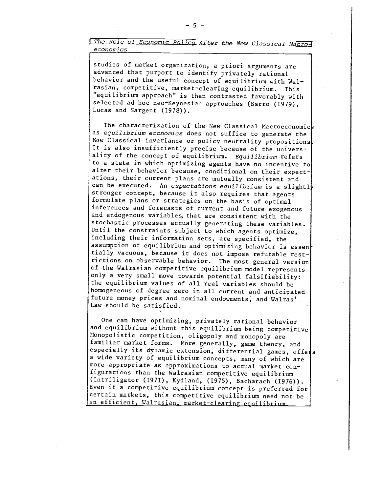The Role of Economic Policy After the New Classical Macroeconomics

studies of market organization, a priori arguments are advanced that purport to identify privately rational behavior and the useful concept of equilibrium with Wal rasian, competitive, market—clearing equilibrium. This "equilibrium approach" is then contrasted favorably with selected ad hoc neo-Keynesian approaches (Barro (1979), Lucas and Sargent (1978)).

The characterization of the New Classical Macroeconomic as equilibrium economics does not suffice to generate the New Classical invariance or policy neutrality propositions It is also insufficiently precise because of the universality of the concept of equilibrium. Equilibrium refers to a state in which optimizing agents have no incentive to alter their behavior because, conditional on their expectations, their current plans are mutually consistent and can be executed. An expectations equilibrium is a slightly stronger concept, because it also requires that agents formulate plans or strategies on the basis of optimal inferences and forecasts of current and future exogenous and endogenous variables, that are consistent with the stochastic processes actually generating these variables. Until the constraints subject to which agents optimize, including their information sets, are specified, the assumption of equilibrium and optimizing behavior is essen tially vacuous, because it does not impose refutable restrictions on observable behavior. The most general version of the Walrasian competitive equilibrium model represents only a very small move towards potential falsifiability: the equilibrium values of all real variables should be homogeneous of degree zero in all current and anticipated future money prices and nominal endowments, and Walras' Law should be satisfied.

One can have optimizing, privately rational behavior and equilibrium without this equilibrium being competitive Monopolistic competition, oligopoly and monopoly are familiar market forms. More generally, game theory, and especially its dynamic extension, differential games, offers a wide variety of equilibrium concepts, many of which are more appropriate as approximations to actual market configurations than the Wairasian competitive equilibrium (Intriligator (1971), Kydland, (1975), Bacharach (1976)). Even if a competitive equilibrium concept is preferred for certain markets, this competitive equilibrium need not be an efficient, Walrasian, market-clearing equilibrium.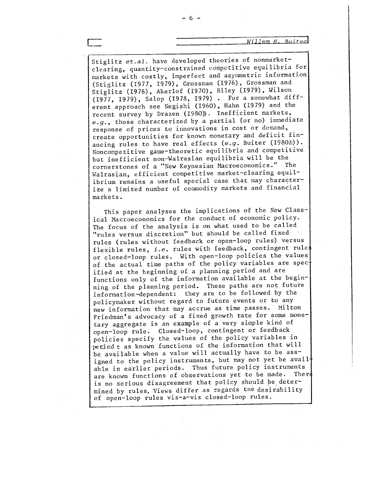Stiglitz et.al. have developed theories of nonmarketclearing, quantity—constrained competitive equilibria for markets with costly, imperfect and asymmetric information (Stiglitz (1977, 1979), Grossman (1976), Grossman and Stiglitz (1976), Akerlof (1970), Riley (1979), Wilson (1977, 1979), Salop (1978, 1979) . For a somewhat different approach see Negishi (1960), Hahn (1979) and the recent survey by Drazen (1980)). Inefficient markets, e.g., those characterized by a partial (or no) immediate response of prices to innovations in cost or demand, create opportunities for known monetary and deficit financing rules to have real effects (e.g. Buiter (1980b)). Noncompetitive game—theoretic equilibria and competitive but inefficient non—Wairasian equilibria will be the cornerstones of a "New Keynesian Macroeconomics." The Walrasian, efficient competitive market-clearing equilibrium remains a useful special case that may characterize a limited number of commodity markets and financial markets.

This paper analyses the implications of the New Classical Macroeconomics for the conduct of economic policy. The focus of the analysis is on what used to be called "rules versus discretion" but should be called fixed rules (rules without feedback or open—loop rules) versus flexible rules, i.e. rules with feedback, contingent rule: or closed—loop rules. With open—loop policies the values of the actual time paths of the policy variables are spec ified at the beginning of a planning period and are functions only of the information available at the beginning of the planning period. These paths are not future information-dependent: they are to be followed by the policymaker without regard to future events or to any new information that may accrue as time passes. Milton Friedman's advocacy of a fixed growth rate for some monetary aggregate is an example of a very simple kind of open—loop rule. Closed-400p, contingent or feedback policies specify the values of the policy variables in petiod t as known functions of the information that will be available when a value will actually have to be assigned to the policy instruments, but may not yet be available in earlier periods. Thus future policy instruments are known functions of observations yet to be made. is no serious disagreement that policy should be determined by rules. Views differ as regards tne desirability of open—loop rules vis—a—vis closed—loop rules.

—6—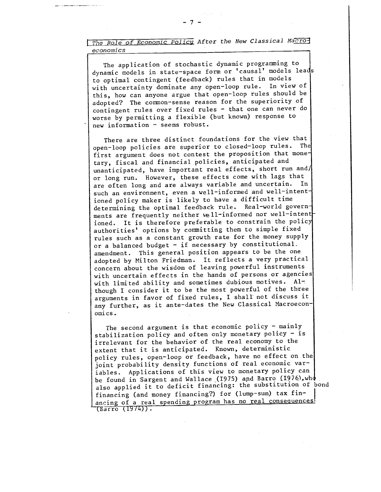The Role of Economic Policy After the New Classical Macroeconomics

The application of stochastic dynamic programming to dynamic models in state-space form or 'causal' models leads to optimal contingent (feedback) rules that in models with uncertainty dominate any open—loop rule. In view of this, how can anyone argue that open—loop rules should be adopted? The common—sense reason for the superiority of contingent rules over fixed rules — that one can never do worse by permitting a flexible (but known) response to new information — seems robust.

There are three distinct foundations for the view that open—loop policies are superior to closed—loop rules. The first argument does not contest the proposition that monetary, fiscal and financial policies, anticipated and unanticipated, have important real effects, short run and/ or long run. However, these effects come with lags that are often long and are always variable and uncertain. such an environment, even a well-informed and well-intentioned policy maker is likely to have a difficult time determining the optimal feedback rule. Real—world governments are frequently neither well-informed nor well-intent ioned. It is therefore preferable to constrain the policy authorities' options by committing them to simple fixed rules such as a constant growth rate for the money supply or a balanced budget — if necessary by constitutional. amendment. This general position appears to be the one adopted by Milton Friedman. It reflects a very practical concern about the wisdom of leaving powerful instruments with uncertain effects in the hands of persons or agencies with limited ability and sometimes dubious motives. Although I consider it to be the most powerful of the three arguments in favor of fixed rules, I shall not discuss it any further, as it ante-dates the New Classical Macroeconomi Cs.

The second argument is that economic policy — mainly stabilization policy and often only monetary policy — is irrelevant for the behavior of the real economy to the extent that it is anticipated. Known, deterministic policy rules, open—loop or feedback, have no effect on the joint probability density functions of real economic variables. Applications of this view to monetary policy can be found in Sargent and Wallace (1975) and Barro (1976), who also applied it to deficit financing: the substitution of bond financing (and money financing?) for (lump—sum) tax financing of a real spending program has no real consequences! (Barro (1974)).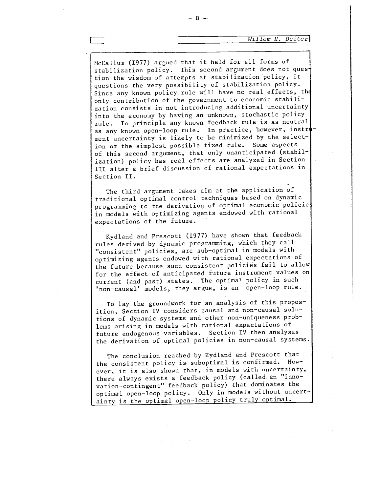McCallum (1977) argued that it held for all forms of stabilization policy. This second argument does not quest tion the wisdom of attempts at stabilization policy, it questions the very possibility of stabilization policy. Since any known policy rule will have no real effects, the only contribution of the government to economic stabilization consists in not introducing additional uncertainty into the economy by having an unknown, stochastic policy rule. In principle any known feedback rule is as neutral as any known open-loop rule. In practice, however, instrument uncertainty is likely to be minimized by the selection of the simplest possible fixed rule. Some aspects of this second argument, that only unanticipated (stabilization) policy has real effects are analyzed in Section III alter a brief discussion of rational expectations in Section II.

 $-8 -$ 

The third argument takes aim at the application of traditional optimal control techniques based on dynamic programming to the derivation of optimal economic policie in models with optimizing agents endowed with rational expectations of the future.

Kydland and Prescott (1977) have shown that feedback rules derived by dynamic programming, which they call "consistent" policies, are sub—optimal in models with optimizing agents endowed with rational expectations of the future because such consistent policies fail to allow for the effect of anticipated future instrument values on current (and past) states. The optimal policy in such 'non—causal' models, they argue, is an open—loop rule.

To lay the groundwork for an analysis of this proposition, Section IV considers causal and non-causal solutions of dynamic systems and other non—uniqueness problems arising in models with rational expectations of future endogenous variables. Section IV then analyses the derivation of optimal policies in non-causal systems.

The conclusion reached by Kydland and Prescott that the consistent policy is suboptimal is confirmed. However, it is also shown that, in models with uncertainty, there always exists a feedback policy (called an "innovation—contingent" feedback policy) that dominates the optimal open—loop policy. Only in models without uncertainty is the optimal open-loop policy truly optimal.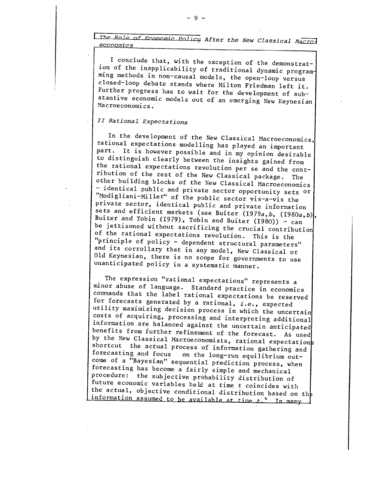The Role of Economic Policy After the New Classical Macro-

 $-9-$ 

I conclude that, with the exception of the demonstration of the inapplicability of traditional dynamic program ming methods in non—causal models, the open—loop versus closed—loop debate stands where Milton Friedman left it. Further progress has to wait for the development of sub stantive economic models out of an emerging New Keynesian Macroeconomics.

# II Rational Expectations

In the development of the New Classical Macroeconomics, rational expectations modelling has played an important part. It is however possible and in my opinion desirable to distinguish clearly between the insights gained from the rational expectations revolution per se and the contribution of the rest of the New Classical package. The other building blocks of the New Classical Macroeconomics - identical public and private sector opportunity sets or "Modigliani—Miller" of the public sector vis—a—vis the private sector, identical public and private information<br>sets and efficient markets (see Buiter (1979a,b, (1980a,b), Buiter and Tobin (1979), Tobin and Buiter (1980)) - can be jettisoned without sacrificing the crucial contribution of the rational expectations revolution. This is the "principle of policy — dependent structural parameters" and its corrollary that in any model, New Classical or Old Keynesian, there is no scope for governments to use unanticipated policy in a systematic manner.

The expression "rational expectations" represents a minor abuse of language. Standard practice in economics commands that the label rational expectations be reserved for forecasts generated by a rational, i.e., expected utility maximizing decision process in which the uncertain information are balanced against the uncertain anticipated benefits from further refinement of the forecast. As used<br>by the New Classical Macroeconomists, rational expectations shortcut the actual process of information gathering and forecasting and focus on the long-run equilibrium outon the long-run equilibrium outcome of a "Bayesian" sequential prediction process, when forecasting has become a fairly simple and mechanical procedure: the subjective probability distribution of future economic variables held at time t coincides with the actual, objective conditional distribution based on th information assumed to be available at time t.<sup>4</sup> In many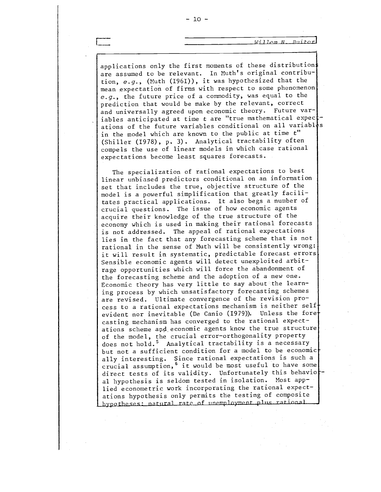applications only the first moments of these distribution are assumed to be relevant. In Muth's original contribution, e.g., (Muth (1961)), it was hypothesized that the mean expectation of firms with respect to some phenomenon e.g., the future price of a commodity, was equal to the prediction that would be make by the relevant, correct and universally agreed upon economic theory. Future variables anticipated at time  $t$  are "true mathematical expectations of the future variables conditional on all variables in the model which are known to the public at time t" (Shiller (1978), p. 3). Analytical tractability often compels the use of linear models in which case rational expectations become least squares forecasts.

- 10 -

The specialization of rational expectations to best linear unbiased predictors conditional on an information set that includes the true, objective structure of the model is a powerful simplification that greatly facilitates practical applications. It also begs a number of crucial questions. The issue of how economic agents acquire their knowledge of the true structure of the economy which is used in making their rational forecasts is not addressed. The appeal of rational expectations lies in the fact that any forecasting scheme that is not rational in the sense of Nuth will be consistently wrong: it will result in systematic, predictable forecast errors Sensible economic agents will detect unexploited arbitrage opportunities which will force the abandonment of the forecasting scheme and the adoption of a new one. Economic theory has very little to say about the learning process by which unsatisfactory forecasting schemes are revised. Ultimate convergence of the revision process to a rational expectations mechanism is neither self evident nor inevitable (De Canio (1979)). Unless the fore casting mechanism has converged to the rational expectations scheme and economic agents know the true structure of the model, the crucial error—orthogonality property does not hold.<sup>5</sup> Analytical tractability is a necessary but not a sufficient condition for a model to be economic ally interesting. Since rational expectations is such a crucial assumption,  $6$  it would be most useful to have some direct tests of its validity. Unfortunately this behavioral hypothesis is seldom tested in isolation. Most applied econometric work incorporating the rational expectations hypothesis only permits the testing of composite hypotheses: natural rate of unemployment plus rational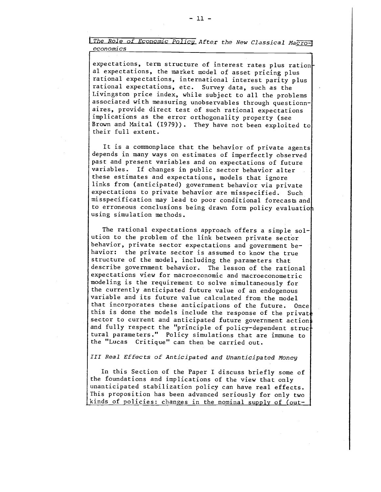The Role of Economic Policy After the New Classical Macro-

expectations, term structure of interest rates plus ration al expectations, the market model of asset pricing plus rational expectations, international interest parity plus rational expectations, etc. Survey data, such as the Livingston price index, while subject to all the problems associated with measuring unobservables through questionnaires, provide direct test of such rational expectations implications as the error orthogonality property (see Brown and Maital (1979)). They have not been exploited to their full extent.

It is a commonplace that the behavior of private agents depends in many ways on estimates of imperfectly observed past and present variables and on expectations of future variables. If changes in public sector behavior alter these estimates and expectations, models that ignore links from (anticipated) government behavior via private expectations to private behavior are misspecified. Such misspecification may lead to poor conditional forecasts and to erroneous conclusions being drawn form policy evaluatio using simulation methods.

The rational expectations approach offers a simple solution to the problem of the link between private sector behavior, private sector expectations and government behavior: the private sector is assumed to know the true structure of the model, including the parameters that describe government behavior. The lesson of the rational expectations view for macroeconomic and macroeconometric modeling is the requirement to solve simultaneously for the currently anticipated future value of an endogenous variable and its future value calculated from the model that incorporates these anticipations of the future. Once this is done the models include the response of the privat sector to current and anticipated future government action and fully respect the "principle of policy—dependent struc tural parameters." Policy simulations that are immune to the "Lucas Critique" can then be carried out.

III Real Effects of Anticipated and Unanticipated Money

In this Section of the Paper I discuss briefly some of the foundations and implications of the view that only unanticipated stabilization policy can have real effects. This proposition has been advanced seriously for only two kinds of policies: changes in the nominal supply of (out-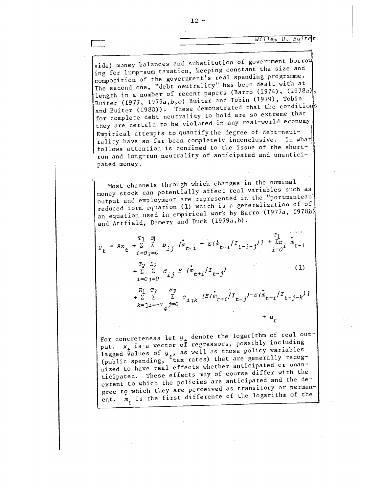$+u_t$ 

side) money balances and substitution of government borrow ing for lump—sum taxation, keeping constant the size and composition of the government's real spending programme. The second one, "debt neutrality" has been dealt with at length in a number of recent papers (Barro (1974), (1978a), Buiter (1977, 1979a,b,c) Buiter and Tobin (1979), Tobin and Buiter (1980)). These demonstrated that the conditions for complete debt neutrality to hold are so extreme that they are certain to be violated in any real—world economy. Empirical attempts to quantify the degree of debt-neut-<br>rality have so far been completely inconclusive. In what rality have so far been completely inconclusive. follows attention is confined to the issue of the short run and long—run neutrality of anticipated and unanticipated money.

Most channels through which changes in the nominal money stock can potentially affect real variables such as output and employment are represented in the "portmanteau" reduced form equation (1) which is a generalization of of an equation used in empirical work by Barro (1977a, 1978b and Attfield, Demery and Duck (1979a, b).

 $y_t = Ax_t + \sum_{i=0}^{T_1} \sum_{i=0}^{T_1} b_{ij} \left[ m_{t-i} - E(m_{t-i}/T_{t-i-j}) + \sum_{i=0}^{T_1} m_{t-i} \right]$  $T_2$   $S_2$ <br>+  $\Sigma$   $\Sigma$   $d_{i,j}$   $E$   $(m_{t+1}/I_{t-j})$  (1) i =0 j=0  $R_1$   $T_3$   $S_3$ <br>+  $\Sigma$   $\Sigma$   $\Sigma$   $e_{jjk}$   $\left[E(\vec{m}_{t+1}/I_{t-j})-E(\vec{m}_{t+1}/I_{t-j-k})\right]$  $k=1$ i=- $T_{4}$ j=0

For concreteness let  $y_t$  denote the logarithm of real output.  $x_{\perp}$  is a vector of regressors, possibly including put.  $A_t$  is the set of  $y_t$ , as well as those policy variables  $\begin{bmatrix} 1 & 0 & 0 \\ 0 & 0 & 1 \end{bmatrix}$  (public spending, that are generally recognized to have real effects whether anticipated or unan ticipated. These effects may of course differ with the extent to which the policies are anticipated and the degree to which they are perceived as transitory or permanent.  $m<sub>r</sub>$  is the first difference of the logarithm of the

— 12 —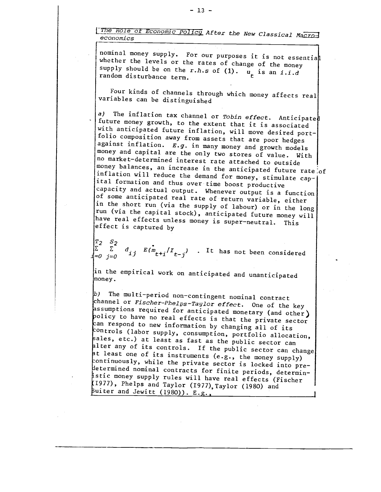The Role of Economic Policy After the New Classical Macro-

nominal money supply. For our purposes it is not essential<br>whether the levels or the rates of change of the money supply should be on the r.h.s of  $(1)$ .  $u<sub>+</sub>$  is an i.i.d random disturbance term.

Four kinds of channels through which money affects real variables can be distinguished

a) The inflation tax channel or Tobin effect. Anticipate future money growth, to the extent that it is associated with anticipated future inflation, will move desired portfolio composition away from assets that are poor hedges against inflation.  $E.g.$  in many money and growth models money and capital are the only two stores of value. With no market-determined interest rate attached to outside<br>money balances, an increase in the anticipated future rate of inflation will reduce the demand for money, stimulate cap-<br>ital formation and thus over time boost productive<br>capacity and actual output. Whenever output is a function<br>of some anticipated real rate of return variable, eith in the short run (via the supply of labour) or in the long<br>run (via the capital stock), anticipated future money will have real effects unless money is super-neutral. This effect is captured by

 $T_2$   $S_2$ <br>  $\sum$   $\sum$   $d_{ij}$   $E(\frac{m}{t+i}/I_{t-j})$  . It has not been considered

in the empirical work on anticipated and unanticipated money.

b) The multi-period non-contingent nominal contract<br>channel or *Fischer-Phelps-Taylor effect*. One of the key<br>assumptions required for anticipated monetary (and other) policy to have no real effects is that the private sector<br>can respond to new information by changing all of its controls (labor supply, consumption, portfolio allocation,<br>sales, etc.) at least as fast as the public sector can alter any of its controls. If the public sector can change at least one of its instruments (e.g., the money supply)<br>continuously, while the private sector is locked into pre-<br>determined nominal contracts for finite periods, determinfistic money supply rules will have real effects (Fischer (1977), Phelps and Taylor (1977), Taylor (1980) and Buiter and Jewitt (1980)). E.g.,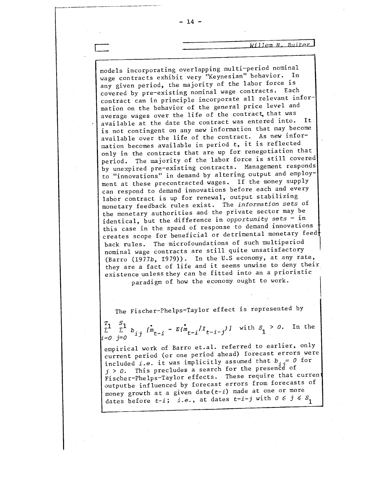models incorporating overlapping multi—period nominal wage contracts exhibit very "Keynesian" behavior. In any given period, the majority of the labor force is covered by pre—existing nominal wage contracts. Each contract can in principle incorporate all relevant information on the behavior of the general price level and average wages over the life of the contract, that was available at the date the contract was entered into. is not contingent on any new information that may become available over the life of the contract. As new information becomes available in period t, it is reflected only in the contracts that are up for renegotiation that period. The majority of the labor force is still covered by unexpired pre—existing contracts. Management responds to "innovations" in demand by altering output and employment at these precontracted wages. If the money supply can respond to demand innovations before each and every labor contract is up for renewal, output stabilizing monetary feedback rules exist. The information sets of the monetary authorities and the private sector may be identical, but the difference in opportunity sets - in this case in the speed of response to demand innovations creates scope for beneficial or detrimental monetary feed back rules. The microfoundations of such multiperiod nominal wage contracts are still quite unsatisfactory (Barro (1977b, 1979)). In the U.S economy, at any rate, they are a fact of life and it seems unwise to deny their existence unless they can be fitted into an a prioristic paradigm of how the economy ought to work.

 $-14 -$ 

The Fischer—Phelps—TaYlor effect is represented by

 $T_1$   $T_1$   $T_2$   $T_3$   $T_{m_{t-1}}$   $T_{m_{t-1}}$   $T_{m_{t-1}}$   $T_{m_{t-1}}$   $T_{m_{t-1}}$   $T_{m_{t-1}}$   $T_{m_{t-1}}$   $T_{m_{t-1}}$   $T_{m_{t-1}}$   $T_{m_{t-1}}$   $T_{m_{t-1}}$   $T_{m_{t-1}}$   $T_{m_{t-1}}$   $T_{m_{t-1}}$   $T_{m_{t-1}}$   $T_{m_{t-1}}$   $T_{m_{t-1}}$   $T_{m_{t-1}}$  $\sum_{i=0}^{k} \sum_{j=0}^{k} b_{ij} i^{m} t_{-i}^{m} t_{-i}^{k}$   $\sum_{i=0}^{k} \sum_{j=0}^{m} a_{ij} i^{m} t_{-i}^{k}$ 

empirical work of Barro et.al. referred to earlier, only current period (or one period ahead) forecast errors were included *i.e.* it was implicitly assumed that  $b_{i,j} = 0$  for  $j > 0$ . This precludes a search for the presence of Fischer—Phelps—Taylor effects. These require that curren outputbe influenced by forecast errors from forecasts of money growth at a given date  $(t-i)$  made at one or more dates before  $t-i$ ; i.e., at dates  $t-i-j$  with  $0 \le j \le S_1$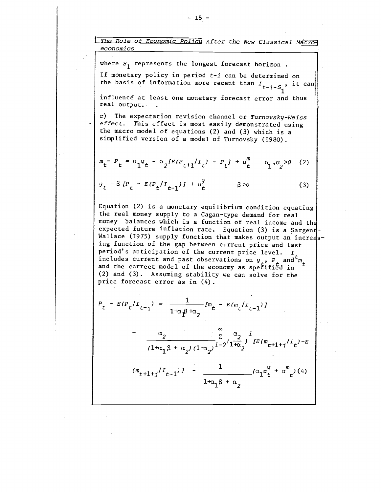The Role of Economic Policy After the New Classical Macroeconomics

where  $S_1$  represents the longest forecast horizon. If monetary policy in period  $t-i$  can be determined on

the basis of information more recent than  $I_{t-i-S}$ , it can

influence at least one monetary forecast error and thus real output.

c) The expectation revision channel or Turnovsky-Weiss effect. This effect is most easily demonstrated using the macro model of equations (2) and (3) which is a simplified version of a model of Turnovsky (1980).

$$
m_{t} - P_{t} = \alpha_{1} y_{t} - \alpha_{2} \left[ E(P_{t+1}/I_{t}) - P_{t} \right] + u_{t}^{m} \qquad \alpha_{1}, \alpha_{2} > 0 \quad (2)
$$

$$
y_t = \beta \left[ P_t - E(P_t / I_{t-1}) \right] + u_t^y \qquad \beta > 0 \qquad (3)
$$

Equation (2) is a monetary equilibrium condition equating the real money supply to a Cagan—type demand for real money balances which is a function of real income and th expected future inflation rate. Equation (3) is a Sargent-Wallace (1975) supply function that makes output an increasing function of the gap between current price and last period's anticipation of the current price level.  $I_t$ includes current and past observations on  $y_{\mu}$ ,  $P_{\mu}$  and  $m$ <br>and the correct model of the economy as specified in  $\mu$ and the correct model of the economy as specified in (2) and (3). Assuming stability we can solve for the price forecast error as in (4).

$$
P_t - E(P_t/I_{t-1}) = \frac{1}{1+\alpha_1\beta+\alpha_2} [m_t - E(m_t/I_{t-1})]
$$

$$
+\frac{\alpha_2}{(1+\alpha_1\beta+\alpha_2)(1+\alpha_2)}\sum_{i=0}^{\infty}\frac{\alpha_2}{1+\alpha_2}i^i(E(m_{t+1+j}/I_t)^{-1})
$$

$$
\left(\frac{m_{t+1+j}}{t-1}\right)^{j} - \frac{1}{1+\alpha_{1}\beta+\alpha_{2}}\left(\alpha_{1}u_{t}^{y} + u_{t}^{m}\right)\left(4\right)
$$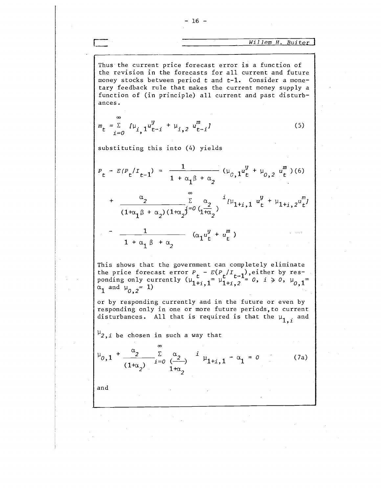Thus the current price forecast error is a function of the revision in the forecasts for all current and future money stocks between period  $t$  and  $t-1$ . Consider a monetary feedback rule that makes the current money supply a function of (in principle) all current and past disturbances.  $\frac{y}{y}$  in  $\frac{m}{y}$  in  $(5)$  $\int_{i=0}^{m} t^{-\frac{1}{2}} \int_{i=0}^{l} \int_{i}^{u} t^{-i} t^{-\frac{1}{2}} \int_{i}^{u} t^{-i} t^{j}$ substituting this into (4) yields  $P_t - E(P_t/T_{t-1}) = \frac{1}{1 + \alpha_1 \beta + \alpha_2} (\mu_0, 1^{\alpha_0} + \mu_0, 2^{\alpha_0} + \mu_0^{\alpha_0})$  $+$   $\frac{\alpha_2}{\alpha_3}$   $\frac{z}{\alpha_1}$   $\frac{\alpha_2}{\alpha_2}$   $\frac{i}{\mu_{1+i,1}}$   $u_t^y$  +  $\mu_{1+i,2}$   $u_t^m$  $(1+a_1\beta + a_2)(1+a_2)$  $\frac{1}{1 + \alpha_1 \beta + \alpha_2}$   $(\alpha_1 u_t^y + u_t^m)$ This shows that the government can completely eliminate the price forecast error  $P_{+}$  -  $E(P_{+}/I_{+,-1})$ ,either by responding only currently  $(\mu_{1+i,1} = \mu_{1+i,2}^2 = 0, i \ge 0, \mu_{0,1}^2 - \mu_{1}^2)$  $\alpha_1$  and  $\mu_{0,2} = 1$ ) or by responding currently and in the future or even by responding only in one or more future periods,to current disturbances. All that is required is that the  $\mu_{1,i}$  and  $\mu_2$ , *i* be chosen in such a way that  $\mu_{0,1} + \frac{\alpha_2}{(1+\alpha)} \sum_{i=0}^{\infty} \frac{\alpha_2}{(-i)} i \mu_{1+i,1} - \alpha_1 = 0$  (7a)  $1+\alpha$ <sub>2</sub> and

— 16 —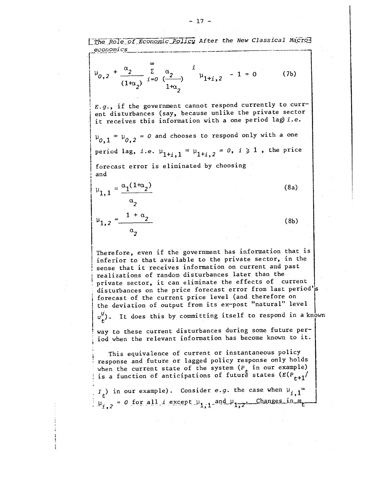The Role of Economic Policy After the New Classical Macroeconomics \_\_\_\_\_\_

$$
\mu_{0,2} + \frac{\alpha_2}{(1+\alpha_2)} \sum_{i=0}^{\infty} \frac{\alpha_2}{(\frac{2}{1+\alpha_2})} i_{1+i,2} - 1 = 0
$$
 (7b)

 $E.g.,$  if the government cannot respond currently to current disturbances (say, because unlike the private sector it receives this information with a one period lag)  $i.e.$ 

 $=\mu_{0,2} = 0$  and chooses to respond only with a one period lag, *i*.e.  $\mu_{1+i,1} = \mu_{1+i,2} = 0$ , *i*  $\geq 1$  , the price

forecast error is eliminated by choosing and

$$
\mu_{1,1} = \frac{\alpha_1(1+\alpha_2)}{\alpha_2} \tag{8a}
$$

 $1 + \alpha_2$ (8b)  $\mathbb{Z}_2$ 

Therefore, even if the government has information that is inferior to that available to the private sector, in the sense that it receives information on current and past realizations of random disturbances later than the private sector, it can eliminate the effects of current disturbances on the price forecast error from last period's forecast of the current price level (and therefore on the deviation of output from its ex—post "natural" level

 $u_{\,\boldsymbol{\cdot}}^{y}$ ). It does this by committing itself to respond in a known

way to these current disturbances during some future period when the relevant information has become known to it.

This equivalence of current or instantaneous policy response and future or lagged policy response only holds when the current state of the system  $(P_+$  in our example) is a function of anticipations of future states  $(E(P_{t+1})$ 

 $I_L$ ) in our example). Consider e.g. the case when  $\mu_{i,1}$ =  $\mu_{1,2} = 0$  for all i except  $\mu_{1,1}$  and  $\mu_{1,2}$ . Changes in  $m_t$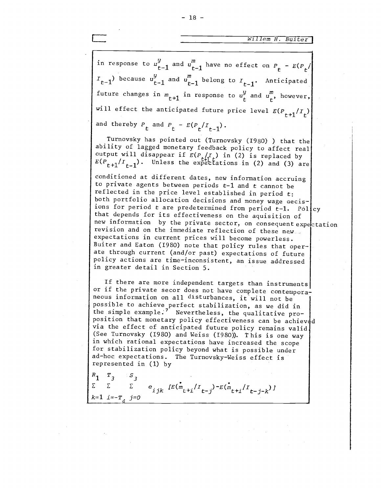in response to  $u_{t-1}^y$  and  $u_{t-1}^m$  have no effect on  $P_t - E(P_t)$  $I_{t-1}$ ) because  $u_{t-1}^y$  and  $u_{t-1}^m$  belong to  $I_{t-1}$ . Anticipated future changes in  $m_{t+1}$  in response to  $u_t^y$  and  $u_t^m$ , however, will effect the anticipated future price level  $E(P_{t+1}/I_t)$ and thereby  $P_t$  and  $P_t - E(P_t/T_{t-1})$ .

Turnovsky has pointed out (Turnovsky (1980) ) that the ability of lagged monetary feedback policy to affect real output will disappear if  $E(P_t/T_t)$  in (2) is replaced by  $E(P_{t+1}/I_{t-1})$ . Unless the expectations in (2) and (3) are

conditioned at different dates, new information accruing to private agents between periods  $t-1$  and  $t$  cannot be reflected in the price level established in period t: both portfolio allocation decisions and money wage aecis ions for period  $t$  are predetermined from period  $t-1$ . Pollcy that depends for its effectiveness on the aquisition of new information by the private sector, on consequent expectation revision and on the immediate reflection of these new expectations in current prices will become powerless. Buiter and Eaton (1980) note that policy rules that oper ate through current (and/or past) expectations of future policy actions are time-inconsistent, an issue addressed in greater detail in Section 5.

If there are more independent targets than instruments or if the private secor does not have complete contemporaneous information on all disturbances, it will not be possible to achieve perfect stabilization, as we did in the simple example.7 Nevertheless, the qualitative proposition that monetary policy effectiveness can be achieved via the effect of anticipated future policy remains valid (See Turnovsky (1980) and Weiss (1980)). This is one way in which rational expectations have increased the scope for stabilization policy beyond what is possible under ad—hoc expectations. The Turnovsky—Weiss effect is represented in (1) by

 $R_1$   $T_3$   $S_3$  $e^{i j k^{12} (m t+i^{12} t-j^{12}) (m t+i^{12} t-j-k^{11})}$  $k=1$  i=-T<sub>4</sub> j=0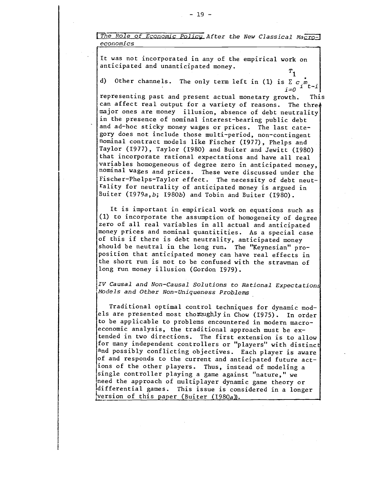The Role of Economic Policy After the New Classical Macroeconomics

It was not incorporated in any of the empirical work on anticipated and unanticipated money.  $r_1$ 

d) Other channels. The only term left in (1) is  $\sum c_i m_{t-i}$ <br> $i=0$ 

representing past and present actual monetary growth. This can affect real output for a variety of reasons. The thre major ones are money illusion, absence of debt neutrality in the presence of nominal interest—bearing public debt and ad—hoc sticky money wages or prices. The last category does not include those multi—period, non—contingent nominal contract models like Fischer (1977), Phelps and Taylor (1977), Taylor (1980) and Buiter and Jewitt (1980) that incorporate rational expectations and have all real variables homogeneous of degree zero in anticipated money, nominal wages and prices. These were discussed under the These were discussed under the Fischer—Phelps—Taylor effect. The necessity of debt neutrality for neutrality of anticipated money is argued in Buiter (1979a,b; I98Ob) and Tobin and Buiter (1980).

It is important in empirical work on equations such as (1) to incorporate the assumption of homogeneity of degree zero of all real variables in all actual and anticipated money prices and nominal quantitities. As a special case of this if there is debt neutrality, anticipated money should be neutral in the long run. The "Keynesian" proposition that anticipated money can have real effects in the short run is not to be confused with the strawman of long run money illusion (Gordon 1979).

IV Causal and Non-Causal Solutions to Rational Expectatiom Models and Other Non-Uniqueness Problems

Traditional optimal control techniques for dynamic models are presented most thoroughly in Chow (1975). In order to be applicable to problems encountered in modern macroeconomic analysis, the traditional approach must be extended in two directions. The first extension is to allow for many independent controllers or "players" with distinci and possibly conflicting objectives. Each player is aware of and responds to the current and anticipated future actions of the other players. Thus, instead of modeling a single controller playing a game against "nature," we need the approach of multiplayer dynamic game theory or differential games. This issue is considered in a longer Version of this paper (Buiter (1980a)).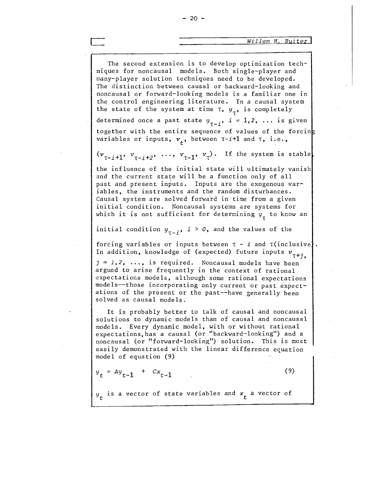$\ddot{\phantom{0}}$ 

 $\bar{z}$ 

|                             | The second extension is to develop optimization tech-<br>niques for noncausal models. Both single-player and<br>many-player solution techniques need to be developed.<br>The distinction between causal or backward-looking and<br>noncausal or forward-looking models is a familiar one in<br>the control engineering literature. In a causal system<br>the state of the system at time $\tau$ , $y_{\tau}$ , is completely<br>determined once a past state $y_{T-i}$ , $i = 1, 2, $ is given              |              |  |
|-----------------------------|-------------------------------------------------------------------------------------------------------------------------------------------------------------------------------------------------------------------------------------------------------------------------------------------------------------------------------------------------------------------------------------------------------------------------------------------------------------------------------------------------------------|--------------|--|
|                             | together with the entire sequence of values of the forcing<br>variables or inputs, $v_t$ , between $\tau$ -i+1 and $\tau$ , i.e.,                                                                                                                                                                                                                                                                                                                                                                           |              |  |
|                             | $(v_{\tau-i+1}, v_{\tau-i+2}, , v_{\tau-1}, v_{\tau}).$ If the system is stable<br>the influence of the initial state will ultimately vanish<br>and the current state will be a function only of all<br>past and present inputs. Inputs are the exogenous var-<br>iables, the instruments and the random disturbances.<br>Causal system are solved forward in time from a given<br>initial condition. Noncausal systems are systems for<br>which it is not sufficient for determining $y_{\tau}$ to know an |              |  |
|                             | initial condition $y_{\tau-i}$ , $i > 0$ , and the values of the                                                                                                                                                                                                                                                                                                                                                                                                                                            |              |  |
|                             | forcing variables or inputs between $\tau - i$ and $\tau$ (inclusive).<br>In addition, knowledge of (expected) future inputs $v_{\tau+i}$ ,                                                                                                                                                                                                                                                                                                                                                                 |              |  |
| solved as causal models.    | $j = 1, 2, \ldots$ , is required. Noncausal models have been<br>argued to arise frequently in the context of rational<br>expectations models, although some rational expectations<br>models--those incorporating only current or past expect-<br>ations of the present or the past--have generally been                                                                                                                                                                                                     |              |  |
| model of equation $(9)$     | It is probably better to talk of causal and noncausal<br>solutions to dynamic models than of causal and noncausal<br>models. Every dynamic model, with or without rational<br>expectations, has a causal (or "backward-looking") and a<br>noncausal (or "forward-looking") solution.<br>easily demonstrated with the linear difference equation                                                                                                                                                             | This is most |  |
| $y_t = Ay_{t-1} + cx_{t-1}$ |                                                                                                                                                                                                                                                                                                                                                                                                                                                                                                             | (9)          |  |
| $y_{+}$                     | is a vector of state variables and $xr$ a vector of                                                                                                                                                                                                                                                                                                                                                                                                                                                         |              |  |

 $\label{eq:2} \frac{1}{\sqrt{2}}\sum_{i=1}^n\frac{1}{\sqrt{2\pi i}}\int_{\mathbb{R}^n} \frac{1}{\sqrt{2\pi i}}\frac{1}{\sqrt{2\pi i}}\frac{1}{\sqrt{2\pi i}}\frac{1}{\sqrt{2\pi i}}\frac{1}{\sqrt{2\pi i}}\frac{1}{\sqrt{2\pi i}}\frac{1}{\sqrt{2\pi i}}\frac{1}{\sqrt{2\pi i}}\frac{1}{\sqrt{2\pi i}}\frac{1}{\sqrt{2\pi i}}\frac{1}{\sqrt{2\pi i}}\frac{1}{\sqrt{2\pi i}}\frac{1}{\sqrt{2\pi i}}$ 

 $\hat{\mathcal{A}}$ 

 $\sim$   $\alpha$ 

 $\frac{1}{2} \left( \frac{1}{2} \right)$ 

 $\label{eq:2} \frac{d\mathcal{L}_{\text{max}}}{d\mathbf{r}} = \frac{1}{\sqrt{2}} \mathbf{1} \mathbf{1} \mathbf{1} \mathbf{1}$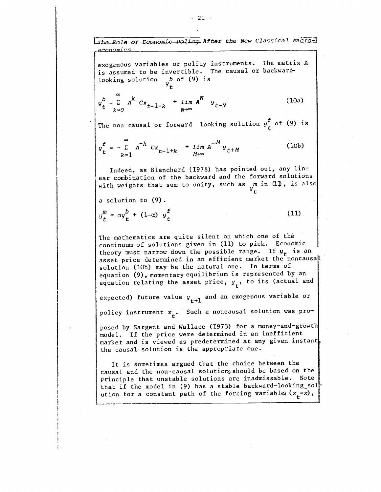1 The Role of Economic Policy After the New Classical Macroeconomics exogenous variables or policy instruments. The matrix A is assumed to be invertible. The causal or backwardlooking solution  $b$  of (9) is  $\frac{9}{5}$ t  $k=0$   $A^{k}$   $Cx_{t-1-k}$   $+ \lim_{N\to\infty} A^{N}$   $y_{t-N}$  (10a) The non-causal or forward looking solution  $y_{+}^{f}$  of (9) is  $A^{-k}$  Cx<sub>t-1+k</sub> + lim  $A^{-2i}$  y<sub>t+M</sub> (10b)  $k=1$ Indeed, as Blanchard (1978) has pointed out, any linear combination of the backward and the forward solutions with weights that sum to unity, such as  $\mu$  in (1), is also  $\mathcal{F}_t$ a solution to (9)  $y_{+}^{m} = \alpha y_{+}^{b} + (1-\alpha) y_{+}^{f}$  (11) The mathematics are quite silent on which one of the continuum of solutions given in (11) to pick. Economic theory must narrow down the possible range. If  $y_t$  is an asset price determined in an efficient market the noncausal solution (lOb) may be the natural one. In terms of equation (9), momentary equilibrium is represented by an equation relating the asset price,  $y_{\mu}$ , to its (actual and

expected) future value  $y_{t+1}$  and an exogenous variable or

policy instrument  $x_{\mu}$ . Such a noncausal solution was pro-

posed by Sargent and Wallace (1973) for a money-and-growth model. If the price were determined in an inefficient market and is viewed as predetermined at any given instant the causal solution is the appropriate one.

It is sometimes argued that the choice between the causal and the non—causal solutiors should be based on the principle that unstable solutions are inadmissable. Note that if the model in (9) has a stable backward-looking sol ution for a constant path of the forcing variables  $(x_{+}=x)$ ,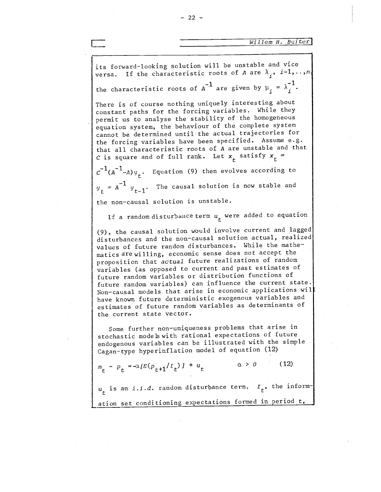its forward—looking solution will be unstable and vice versa. If the characteristic roots of A are  $\lambda_j$ ,  $i=1,\ldots,n$ . the characteristic roots of  $A^{-1}$  are given by  $\mu_i = \lambda_i^{-1}$ . There is of course nothing uniquely interesting about constant paths for the forcing variables. While they permit us to analyse the stability of the homogeneous equation system, the behaviour of the complete system cannot be determined until the actual trajectories for the forcing variables have been specified. Assume e.g. that all characteristic roots of A are unstable and that C is square and of full rank. Let  $x_+$  satisfy  $x_+$  =  $c^{-1}(A^{-1}-A)y_t$ . Equation (9) then evolves according to  $y_t = A^{-1} y_{t-1}$ . The causal solution is now stable and the non—causal solution is unstable. If a random disturbance term  $u_t$  were added to equation (9), the causal solution would involve current and lagged disturbances and the non—causal solution actual, realized values of future random disturbances. While the mathe matics are willing, economic sense does not accept the proposition that actual future realizations of random variables (as opposed to current and past estimates of future random variables or distribution functions of future random variables) can influence the current state. Non—causal models that arise in economic applications wil have known future deterministic exogenous variables and estimates of future random variables as determinants of the current state vector. Some further non—uniqueness problems that arise in stochastic models with rational expectations of future endogenous variables can be illustrated with the simple Cagan—type hyperinflation model of equation (12)  $m_t - p_t = -\alpha \left[ E(p_{t+1}/I_t) \right] + u_t$   $\alpha > 0$  (12)  $u_t$  is an *i.i.d.* random disturbance term.  $I_t$ , the information set conditioning expectations formed in period t,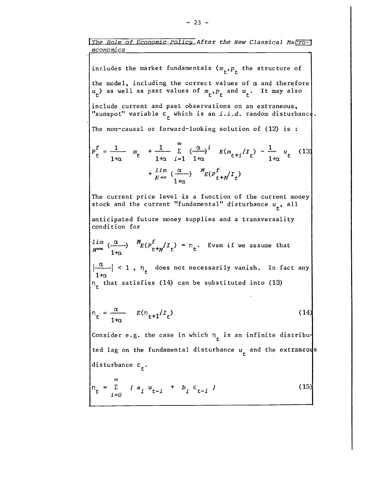IThe Role of Economic Policy After the New Classical Macro-j economics

includes the market fundamentals  $(m_{+}, p_{+})$  the structure of the model, including the correct values of  $\alpha$  and therefore  $u_t$ ) as well as past values of  $m_t$ ,  $p_t$  and  $u_t$ . It may also include current and past observations on an extraneous, "sunspot" variable  $\varepsilon_{\perp}$  which is an *i.i.d.* random disturbance. The non-causal or forward-looking solution of  $(12)$  is:  $=\frac{1}{1}$   $m_t + \frac{1}{1}$   $\Sigma (\frac{\alpha}{1})^i$   $E(m_{t+i}/I_t) - \frac{1}{1}$   $u_t$  (13)  $1+\alpha$  1+a i=1 1+a  $\alpha$  1+a 1+a 1+a 1 +  $\lim_{N\to\infty}$  ( $\frac{\alpha}{1+\alpha}$ )  $\lim_{E(P_{t+N}^f/L_t)}$ The current price level is a function of the current money stock and the current "fundamental" disturbance  $u_{\perp}$ , all anticipated future money supplies and a transversality condition for  $\lim_{M\to\infty}$   $\frac{u}{1+v}$   $\int_{E(P_{t+M}^f/T_t)}^{\infty} d\mu$  =  $\eta_t$ . Even if we assume that  $\left|\frac{\alpha}{\alpha}\right|$  < 1,  $\eta_t$  does not necessarily vanish. In fact any  $n_{t}$  that satisfies (14) can be substituted into (13)  $n_t = \frac{\alpha}{1+\alpha}$   $E(n_{t+1}/I_t)$  (14) Consider e.g. the case in which  $n_{\mu}$  is an infinite distributed lag on the fundamental disturbance  $u_t$  and the extraneous disturbance  $\varepsilon_{\text{r}}$ .  $m_{t} = \sum_{i} \left[ a_{i} u_{t-i} + b_{i} e_{t-i} \right]$  (15)  $t = \int_{i=0}^{L} t^{a} i^{a} t - i$   $\int_{i}^{t} t - i$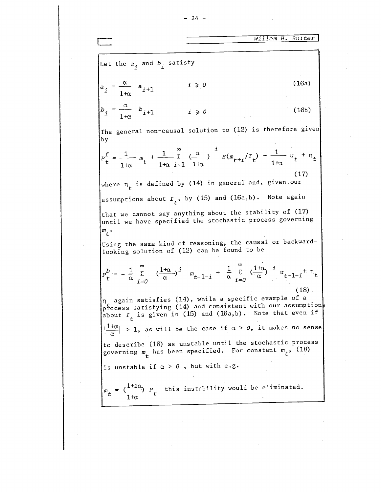Let the  $a_j$  and  $b_j$  satisfy  $a_{i} = \frac{\alpha}{i+1}$   $i \ge 0$  (16a)  $\frac{a_{i+1}}{1+\alpha}$   $\frac{1}{1+\alpha}$  $b_i = \frac{\alpha}{1+\alpha} b_{i+1}$   $i \ge 0$  (16b) The general non-causal solution to (12) is therefore given by  $\frac{1}{m_t} + \frac{1}{m_t} \sum_{i=1}^{\infty} \frac{(\alpha_i)^2}{(1-\alpha_i)^2} E(m_{t+i}/I_t) - \frac{1}{m_t} u_t + n_t$  $1+\alpha$   $\downarrow$  1+ $\alpha$  i=1 1+ $\alpha$ (17) where  $n_t$  is defined by (14) in general and, given our assumptions about  $I_{\bm{\tau}},$  by (15) and (16a,b). Note again that we cannot say anything about the stability of (17) until we have specified the stochastic process governing  $\binom{m}{t}$ . Using the same kind of reasoning, the causal or backward looking solution of (12) can be found to be  $P_t^b = -\frac{1}{\alpha} \sum_{i=0}^{\infty} \left( \frac{1+\alpha}{\alpha} \right)^i m_{t-1-i} + \frac{1}{\alpha} \sum_{i=0}^{\infty} \left( \frac{1+\alpha}{\alpha} \right)^i n_{t-1-i} + \eta_t$ (18)  $n_t$  again satisfies (14), while a specific example of a process satisfying (14) and consistent with our assumptions about  $I_t$  is given in (15) and (16a,b). Note that even if  $\left|\frac{1+\alpha}{\alpha}\right| > 1$ , as will be the case if  $\alpha > 0$ , it makes no sense to describe (18) as unstable until the stochastic process governing  $m_t$  has been specified. For constant  $m_t$ , (18) is unstable if  $\alpha > 0$ , but with e.g.  $m_t = \frac{1+2\alpha}{1+\alpha} P_t$  this instability would be eliminated.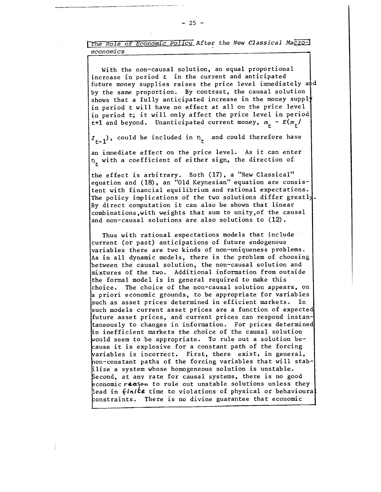The Role of Economic Policy After the New Classical Macroeconomics

With the non-causal solution, an equal proportional increase in period t in the current and anticipated future money supplies raises the price level immediately and by the same proportion. By contrast, the causal solution shows that a fully anticipated increase in the money supply in period t will have no effect at all on the price level in period t; it will only affect the price level in period t+1 and beyond. Unanticipated current money,  $m_{\mu}$  -  $E(m_{\mu}/m_{\tau})$ 

 $I_{t-1}$ ), could be included in  $n_t$  and could therefore have

an immediate effect on the price level. As it can enter  $n<sub>+</sub>$  with a coefficient of either sign, the direction of

the effect is arbitrary. Both (17), a "New Classical" equation and (18), an "Old Keynesian" equation are consistent with financial equilibrium and rational expectations. The policy implications of the two solutions differ greatly. By direct computation it can also be shown that linear combinations,with weights that sum to unity,of the causal and non-causal solutions are also solutions to  $(12)$ .

Thus with rational expectations models that include current (or past) anticipations of future endogenous variables there are two kinds of non—uniqueness problems. As in all dynamic models, there is the problem of choosing between the causal solution, the non-causal solution and mixtures of the two. Additional information from outside the formal model is in general required to make this choice. The choice of the non—causal solution appears, on a priori economic grounds, to be appropriate for variables such as asset prices determined in efficient markets. In such models current asset prices are a function of expected future asset prices, and current prices can respond instan taneously to changes in information. For prices determined in inefficient markets the choice of the causal solution would seem to be appropriate. To rule out a solution because it is explosive for a constant path of the forcing 'ariables is incorrect. First, there exist, in general, hon-constant paths of the forcing variables that will stab-.lize a system whose homogeneous solution is unstable. Second, at any rate for causal systems, there is no good economic reason to rule out unstable solutions unless they lead in finite time to violations of physical or behavioura onstraints. There is no divine guarantee that economic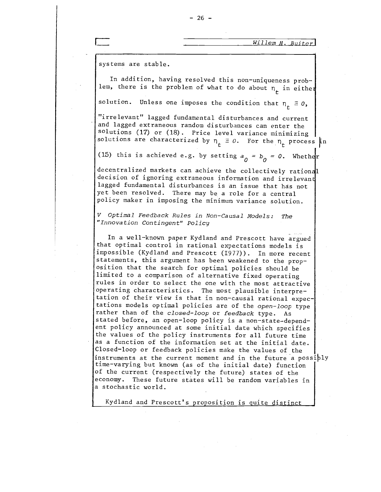systems are stable.

In addition, having resolved this non—uniqueness prob lem, there is the problem of what to do about  $n<sub>r</sub>$  in either

solution. Unless one imposes the condition that  $n_t \equiv 0$ ,

"irrelevant" lagged fundamental disturbances and current and lagged extraneous random disturbances can enter the solutions (17) or (18). Price level variance minimizing solutions are characterized by  $n_t \equiv 0$ . For the  $n_t$  process in

(15) this is achieved e.g. by setting  $a_{0} = b_{0} = 0$ . Whether

decentralized markets can achieve the collectively rational decision of ignoring extraneous information and irrelevant lagged fundamental disturbances is an issue that has not yet been resolved. There may be a role for a central policy maker in imposing the minimum variance solution.

V Optimal Feedback Rules in Non-Causal Models: The "Innovation Contingent" Policy

In a well—known paper Kydland and Prescott have argued that optimal control in rational expectations models is impossible (Kydland and Prescott (1977)). In more recent statements, this argument has been weakened to the proposition that the search for optimal policies should be limited to a comparison of alternative fixed operating rules in order to select the one with the most attractive operating characteristics. The most plausible interpre tation of their view is that in non—causal rational expectations models optimal policies are of the open—loop type rather than of the closed-loop or feedback type. As stated before, an open-loop policy is a non-state-dependent policy announced at some initial date which specifies the values of the policy instruments for all future time as a function of the information set at the initial date. Closed—loop or feedback policies make the values of the instruments at the current moment and in the future a possibly time—varying but known (as of the initial date) function of the current (respectively the future) states of the economy. These future states will be random variables in a stochastic world.

Kydland and Prescott's proposition is quite distinct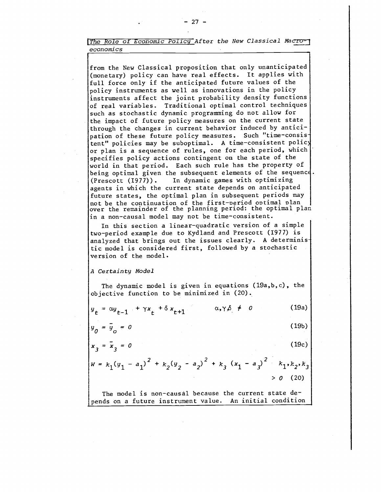The Role of Economic Policy After the New Classical Macro-I economics

from the New Classical proposition that only unanticipated (monetary) policy can have real effects. It applies with full force only if the anticipated future values of the policy instruments as well as innovations in the policy instruments affect the joint probability density functions of real variables. Traditional optimal control techniques such as stochastic dynamic programming do not allow for the impact of future policy measures on the current state through the changes in current behavior induced by anticipation of these future policy measures. Such "time-consistent" policies may be suboptimal. A time-consistent policy or plan is a sequence of rules, one for each period, which specifies policy actions contingent on the state of the world in that period. Each such rule has the property of being optimal given the subsequent elements of the sequence. (Prescott (1977)). In dynamic games with optimizing agents in which the current state depends on anticipated future states, the optimal plan in subsequent periods may not be the continuation of the first-period optimal plan over the remainder of the planning period: the optimal plar in a non—causal model may not be time—consistent.

In this section a linear—quadratic version of a simple two—period example due to Kydland and Prescott (1977) is analyzed that brings out the issues clearly. A determinis tic model is considered first, followed by a stochastic version of the model.

## A Certainty Model

The dynamic model is given in equations (19a,b,c), the objective function to be minimized in (20).

| $y_t = \alpha y_{t-1} + \gamma x_t + \delta x_{t+1}$ | $\alpha, \gamma, \delta \neq 0$ | (19a) |
|------------------------------------------------------|---------------------------------|-------|
|                                                      |                                 |       |

 $y_o = \bar{y}_o = 0$  (19b)

 $x_3 = \bar{x}_3 = 0$  (19c)

 $w = k_1(y_1 - a_1)^2 + k_2(y_2 - a_2)^2 + k_3 (x_1 - a_3)^2 - k_1, k_2, k_3$  $> 0$  (20)

The model is non-causal because the current state depends on a future instrument value. An initial condition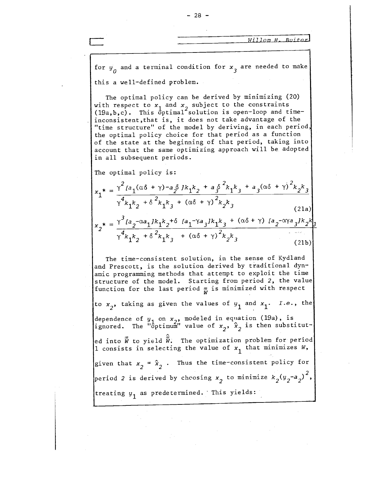for  $y_{\alpha}$  and a terminal condition for  $x_{3}$  are needed to make this a well—defined problem.

The optimal policy can be derived by minimizing (20) with respect to  $x_1$  and  $x_2$  subject to the constraints  $\qquad \qquad \mid$ (19a,b,c). This  $\tilde{\texttt{optimal}}$  solution is open-loop and time-  $\parallel$ inconsistent, that is, it does not take advantage of the "time structure" of the model by deriving, in each period the optimal policy choice for that period as a function of the state at the beginning of that period, taking into account that the same optimizing approach will be adopted in all subsequent periods.

The optimal policy is:

$$
x_{1}^{*} = \frac{\gamma^{2} [a_{1}(\alpha\delta + \gamma) - a_{2}\delta]k_{1}k_{2} + a_{3}\delta^{2}k_{1}k_{3} + a_{3}(\alpha\delta + \gamma)^{2}k_{2}k_{3} \qquad (21a)
$$

$$
x_{2}^{*} = \frac{\gamma^{3} [a_{2} - \alpha a_{1} J k_{1} k_{2} + \delta [a_{1} - \gamma a_{3} J k_{1} k_{3} + (\alpha \delta + \gamma) [a_{2} - \alpha \gamma a_{3} J k_{2} k_{3} + \gamma^{2} k_{1} k_{2} + \delta^{2} k_{1} k_{3} + (\alpha \delta + \gamma)^{2} k_{2} k_{3} + (\alpha \delta + \gamma)^{2} k_{2} k_{3} + (\alpha \delta + \gamma)^{2} k_{3} k_{3} + (\alpha \delta + \gamma)^{2} k_{3} k_{3} + (\alpha \delta + \gamma)^{2} k_{3} k_{3} + (\alpha \delta + \gamma)^{2} k_{3} k_{3} + (\alpha \delta + \gamma)^{2} k_{3} k_{3} + (\alpha \delta + \gamma)^{2} k_{3} k_{3} + (\alpha \delta + \gamma)^{2} k_{3} k_{3} + (\alpha \delta + \gamma)^{2} k_{3} k_{3} + (\alpha \delta + \gamma)^{2} k_{3} k_{3} + (\alpha \delta + \gamma)^{2} k_{3} k_{3} + (\alpha \delta + \gamma)^{2} k_{3} k_{3} + (\alpha \delta + \gamma)^{2} k_{3} k_{3} + (\alpha \delta + \gamma)^{2} k_{3} k_{3} + (\alpha \delta + \gamma)^{2} k_{3} k_{3} + (\alpha \delta + \gamma)^{2} k_{3} k_{3} + (\alpha \delta + \gamma)^{2} k_{3} k_{3} + (\alpha \delta + \gamma)^{2} k_{3} k_{3} + (\alpha \delta + \gamma)^{2} k_{3} k_{3} + (\alpha \delta + \gamma)^{2} k_{3} k_{3} + (\alpha \delta + \gamma)^{2} k_{3} k_{3} + (\alpha \delta + \gamma)^{2} k_{3} k_{3} + (\alpha \delta + \gamma)^{2} k_{3} k_{3} + (\alpha \delta + \gamma)^{2} k_{3} k_{3} + (\alpha \delta + \gamma)^{2} k_{3} k_{3} + (\alpha \delta + \gamma)^{2} k_{3} k_{3} + (\alpha \delta + \gamma)^{2} k_{3} k_{3} + (\alpha \delta + \gamma)^{2} k_{3} k_{3} + (\alpha \delta + \gamma)^{2} k_{3} k_{3} + (\alpha \delta + \gamma)^{2} k_{3} k_{3} + (\alpha \delta + \gamma)^{2} k_{3} k_{3
$$

The time-consistent solution, in the sense of Kydland and Prescott, is the solution derived by traditional dynamic programming methods that attempt to exploit the time structure of the model. Starting from period 2, the value function for the last period  $\frac{1}{W}$  is minimized with respect

to  $x_2$ , taking as given the values of  $y_1$  and  $x_1$ . I.e., the dependence of  $y_1$  on  $x_2$ , modeled in equation (19a), is ignored. The "optimum" value of  $x_2$ ,  $\hat{x}_2$  is then substituted into  $\bar{\vec{w}}$  to yield  $\dot{\bar{\vec{w}}}$ . The optimization problem for period 1 consists in selecting the value of  $x<sub>1</sub>$  that minimizes W, given that  $x_2 = \hat{x}_2$ . Thus the time-consistent policy for period 2 is derived by choosing  $x_{2}$  to minimize  $k_{2}(y_{2}-a_{2})^{2}$ , treating  $y_1$  as predetermined. This yields: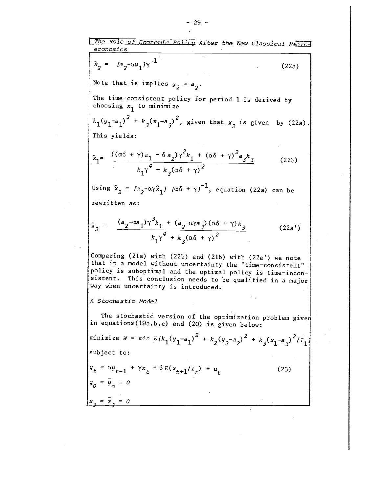$$
\hat{x}_2 = Ia_2 - \alpha y_1 J \gamma^{-1}
$$
 (22a)

Note that is implies  $y_2 = a_2$ .

The time-consistent policy for period 1 is derived by choosing  $x_1$  to minimize

 $k_1(y_1-a_1)^2 + k_3(x_1-a_3)^2$ , given that  $x_2$  is given by (22a). This yields:

$$
\hat{x}_1 = \frac{((\alpha\delta + \gamma)a_1 - \delta a_2)\gamma^2 k_1 + (\alpha\delta + \gamma)^2 a_3 k_3}{k_1\gamma^4 + k_3(\alpha\delta + \gamma)^2}
$$
 (22b)

Using  $\hat{x}_2 = [a_2 - \alpha \gamma \hat{x}_1]$  [ $\alpha \delta + \gamma \gamma^{-1}$ , equation (22a) can be rewritten as:

$$
\hat{x}_2 = \frac{(a_2 - \alpha a_1) \gamma^3 k_1 + (a_2 - \alpha \gamma a_3) (\alpha \delta + \gamma) k_3}{k_1 \gamma^4 + k_3 (\alpha \delta + \gamma)^2}
$$
 (22a')

Comparing (21a) with (22b) and (21b) with (22a') we note that in a model without uncertainty the "time-consistent" policy is suboptimal and the optimal policy is time—inconsistent. This conclusion needs to be qualified in a major way when uncertainty is introduced.

A Stochastic Model

The stochastic version of the optimization problem given in equations(19a,b,c) and (20) is given below:

minimize  $W = min E[k_1(y_1-a_1)^2 + k_2(y_2-a_2)^2 + k_3(x_1-a_3)^2/t_1]$ subject to:  $y_t = \alpha y_{t-1} + \gamma x_t + \delta E(x_{t+1}/T_t) + u_t$  (23)

 $y_0 = \bar{y}_0 = 0$  $x = \bar{x}$  = 0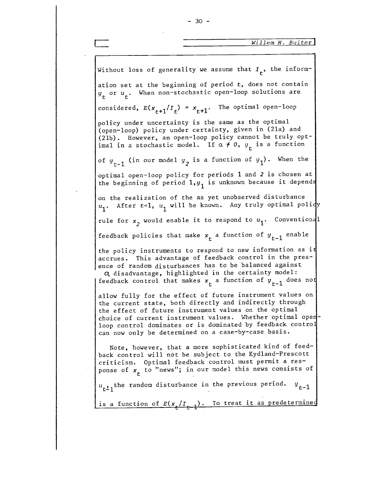Without loss of generality we assume that  $I_{+}$ , the information set at the beginning of period  $t$ , does not contain  $y_t$  or  $u_t$ . When non-stochastic open-loop solutions are considered,  $E(x_{t+1}/T_t) = x_{t+1}$ . The optimal open-loop policy under uncertainty is the same as the optimal (open—loop) policy under certainty, given in (2la) and (21b). However, an open—loop policy cannot be truly optimal in a stochastic model. If  $\alpha \neq 0$ ,  $y_{+}$  is a function of  $y_{t-1}$  (in our model  $y_2$  is a function of  $y_1$ ). When the optimal open—loop policy for periods 1 and 2 is chosen at the beginning of period  $1,y_1$  is unknown because it depends on the realization of the as yet unobserved disturbance  $u_1$ . After  $t=1$ ,  $u_1$  will be known. Any truly optimal policy rule for  $x_2$  would enable it to respond to  $u_1$ . Conventional feedback policies that make  $x_t$  a function of  $y_{t-1}$  enable the policy instruments to respond to new information as i accrues. This advantage of feedback control in the presence of random disturbances has to be balanced against  $\alpha$  disadvantage, highlighted in the certainty model: feedback control that makes  $x_{+}$  a function of  $y_{+}$  does not allow fully for the effect of future instrument values on the current state, both directly and indirectly through the effect of future instrument values on the optimal choice of current instrument values. Whether optimal oper loop control dominates or is dominated by feedback control can now only be determined on a case—by—case basis. Note, however, that a more sophisticated kind of feed- back control will not be subject to the Kydland-Prescott criticism. Optimal feedback control must permit a response of  $x_{+}$  to "news"; in our model this news consists of  $u_{t-1}$  the random disturbance in the previous period.  $y_{t-1}$ is a function of  $E(x_t/T_{t-1})$ . To treat it as predetermined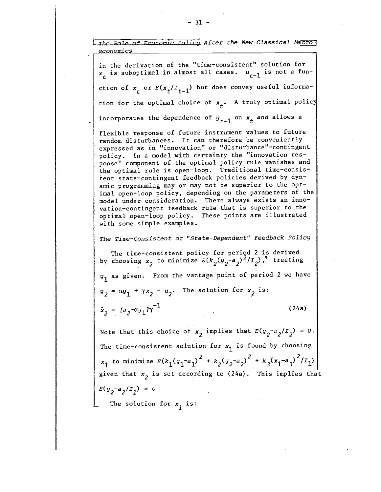The Role of Economic Policy After the New Classical Macroeconomics

in the derivation of the "time—consistent" solution for is suboptimal in almost all cases.  $u_{+1}$  is not a function of  $x_t$  or  $E(x_t/T_{t-1})$  but does convey useful information for the optimal choice of  $x_t$ . A truly optimal policy incorporates the dependence of  $y_{t-1}$  on  $x_t$  and allows a flexible response of future instrument values to future random disturbances. It can therefore be conveniently expressed as in "innovation" or "disturbance"—contingent policy. In a model with certainty the "innovation response" component of the optimal policy rule vanishes and the optimal rule is open—loop. Traditional time—consistent state-contingent feedback policies derived by dynamic programming may or may not be superior to the optimal open—loop policy, depending on the parameters of the model under consideration. There always exists an innovation—contingent feedback rule that is superior to the optimal open—loop policy. These points are illustrated with some simple examples. The Time—Consistent or 'State—Dependent" Feedback Policy The time—consistent policy for period 2 is derived by choosing  $x_2$  to minimize  $E(k_2(y_2-a_2)^{-1/2})$ , treating  $y_1$  as given. From the vantage point of period 2 we have  $y_2 = \alpha y_1 + \gamma x_2 + u_2$ . The solution for  $x_2$  is:  $-1$  and  $\sim$ (24a)

Note that this choice of  $x_2$  implies that  $E(y_2-a_2/T_2) = 0$ . The time-consistent solution for  $x_1$  is found by choosing  $x_1$  to minimize  $E(k_1(y_1-a_1)^2 + k_2(y_2-a_2)^2 + k_3(x_1-a_3)^2/T_1)$ given that  $x_2$  is set according to (24a). This implies that  $E(y_2-a_2/T_1) = 0$ 

The solution for  $x$ , is:

 $x_2 - \mu a_2 - \mu y_1$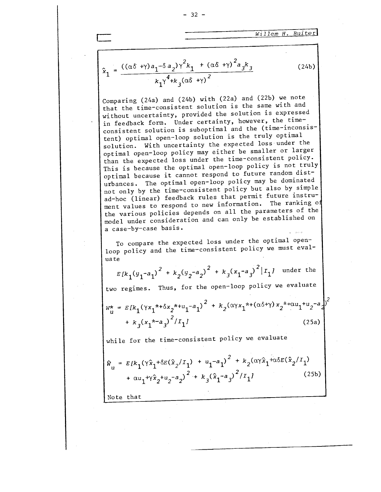$$
1 = \frac{((\alpha \delta + \gamma) a_1 - \delta a_2) \gamma^2 k_1 + (\alpha \delta + \gamma)^2 a_3 k_3}{k_1 \gamma^4 + k_3 (\alpha \delta + \gamma)^2}
$$
 (24b)

Comparing (24a) and (24b) with (22a) and (22b) we note that the time—consistent solution is the same with and without uncertainty, provided the solution is expressed in feedback form. Under certainty, however, the time consistent solution is suboptimal and the (time—inconsistent) optimal open—loop solution is the truly optimal solution. With uncertainty the expected loss under the optimal open—loop policy may either be smaller or larger than the expected loss under the time—consistent policy. This is because the optimal open—loop policy is not truly optimal because it cannot respond to future random disturbances. The optimal open—loop policy may be dominated not only by the time—consistent policy but also by simple ad—hoc (linear) feedback rules that permit future instru ment values to respond to new information. The ranking o the various policies depends on all the parameters of the model under consideration and can only be established on a case-by-case basis.

To compare the expected loss under the optimal open loop policy and the time-consistent policy we must evaluate

 $E[k_1(y_1-a_1)^2 + k_2(y_2-a_2)^2 + k_3(x_1-a_3)^2]I_1]$  under the

two regimes. Thus, for the open—loop policy we evaluate

$$
W_{u}^* = E[k_1(\gamma x_1^{*+ \delta x_2^{*+u_1-a_1}})^2 + k_2(\alpha \gamma x_1^{*+ (\alpha \delta + \gamma) x_2^{*+ \alpha u_1+u_2-a_2})^2 + k_3(x_1^{*+a_3})^2/I_1]}
$$
(25a)

while for the time-consistent policy we evaluate

$$
\hat{w}_{u} = E[k_{1}(\gamma \hat{x}_{1} + \delta E(\hat{x}_{2}/I_{1}) + u_{1} - a_{1})^{2} + k_{2}(\alpha \gamma \hat{x}_{1} + \alpha \delta E(\hat{x}_{2}/I_{1}) + \alpha u_{1} + \gamma \hat{x}_{2} + u_{2} - a_{2})^{2} + k_{3}(\hat{x}_{1} - a_{3})^{2}/I_{1}]
$$
\n(25b)

Note that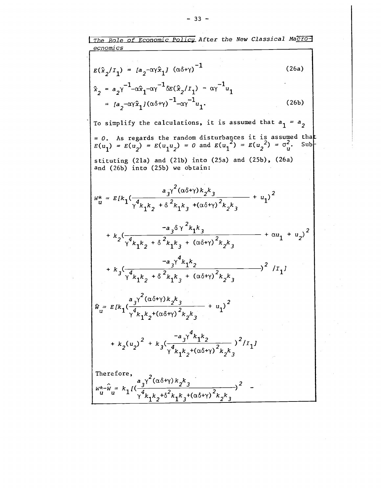The Role of Economic Policy After the New Classical Macroecnomics  $E(\hat{x}_2/I_1) = [a_2 - \alpha \hat{x}_1] (\alpha \delta + \gamma)^{-1}$  (26a)  $a_2\gamma^{-1} - \alpha \hat{x}_1 - \alpha \gamma^{-1} \delta E(\hat{x}_2/T_1) - \alpha \gamma^{-1} u_1$  $1 \t -1$  $[a_2^{-\alpha\gamma}\hat{x}_1]^{(\alpha\delta+\gamma)}$   $-a\gamma$   $u_1$ . (26b) To simplify the calculations, it is assumed that  $a_1 = a_2$ = 0. As regards the random disturbances it is assumed that  $E(u_1) = E(u_2) = E(u_1u_2) = 0$  and  $E(u_1^2) = E(u_2^2) = \sigma_u^2$ . Sub stituting (21a) and (21b) into (25a) and (25b), (26a) and (26b) into (25b) we obtain:  $\frac{a_{3}^{1} (u_{0} + y_{2}^{0})^{2}}{2} + u_{1}^{2}$ 2  $\int_{u}^{k} = E[k_1(\frac{3}{\gamma^4 k_1 k_2 + \delta^2 k_1 k_3 + (\alpha \delta + \gamma)^2 k_2 k_3} + u_1)^2]$ +  $k_2 \left( \frac{-a_3^{\alpha_1} + a_1^{\alpha_2} + a_2^{\alpha_3} + a_3^{\alpha_4} + a_2^{\alpha_5} + a_3^{\alpha_6} + a_4^{\alpha_7} + a_2^{\alpha_8} + a_3^{\alpha_9} + a_4^{\alpha_1} + a_2^{\alpha_2} \right)$  $\gamma^4 k_1 k_2 + \delta^2 k_1 k_3 + (\alpha \delta + \gamma)^2 k_2 k_3$  $a_3$ <sup> $\gamma$ </sup>  $k_1k_2$ +  $k_3(\frac{3^{1} + 2}{\gamma^4 k_1 k_2 + \delta^2 k_1 k_3 + (\alpha \delta + \gamma)^2 k_2 k_3})^2 / I_1$  $2$  ( $\alpha$   $\lambda$   $\lambda$ )  $\alpha$   $\mu$  $\frac{a_{3}y_{0}(\alpha_{0}+y)x_{2}x_{3}}{y_{0}+y_{1}}+y_{1}^{2}$  $\hat{w}_u = E[k_1(\frac{2}{\sqrt{4k k} + (\alpha \delta \gamma)^2 k k} + u_1)^2]$  $y^k_1x_2^k(x_0+y)$   $x_2x_3$  $4\frac{1}{2}$ + k<sub>2</sub>(u<sub>2</sub>)<sup>2</sup> + k<sub>3</sub>( $\frac{a_3!}{4}$ )<sup>2</sup>/I<sub>1</sub><sup>J</sup><sub>2</sub>  $\frac{a_1!}{4}$  $Y_{1}$ <sup>k</sup><sub>1</sub>k<sub>2</sub><sup>+(a0+Y)</sup> k<sub>2</sub><sup>k</sup><sub>3</sub> Therefore,<br> $a_{\gamma}^2(\alpha \delta + \gamma)k_{\gamma}k_{\gamma}$  $\int_{u}^{x-\hat{W}} \frac{1}{u^{2}} k_{1} \left[ \left( \frac{3}{\gamma^{4} k_{1} k_{2} + \delta^{2} k_{1} k_{3} + (\alpha \delta + \gamma)^{2} k_{2} k_{3} \right)} \right]$ 

 $-33 -$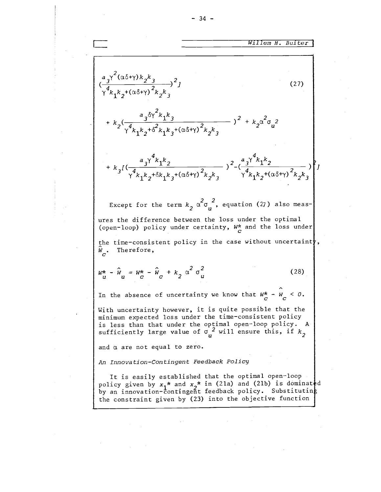Willem H. Buiter  $\frac{a_{31} + a_{32} + y_{12} + 2}{2}$  $\left(\frac{4}{\gamma^4 k k + (\gamma \delta + \gamma)^2 k k}\right)$ (27)  $Y_{1}$ <sup>k</sup><sub>2</sub><sup>k</sup>2<sup>+( $\alpha$ 0+ $\gamma$ ) k<sub>2</sub><sup>k</sup><sub>3</sub></sup> +  $k_2 \left(\frac{a_3 \delta \gamma^2 k_1 k_3}{a_4^4 k_1 k_1 + \delta^2 k_1 k_1 + (\delta \delta + \gamma)^2 k_2 k_3}\right)^2 + k_2 \alpha^2 \sigma_q^2$ y4k1k2+62k1k3+(c+y)k2k3  $2^{u}$  u  $\frac{a_3 \gamma k_1 k_2}{a_3^2 k_1^2}$  )<sup>2</sup>- $\left(\frac{a_3 \gamma k_1 k_2}{4} \right)$  $\left[ \frac{k_1k_2+\alpha_{1}k_3+\alpha_{2}k_1+\alpha_{2}k_3}{k_2k_3} \right]$ Except for the term  $k_2 \alpha^2 \sigma_n^2$ , equation (27) also measures the difference between the loss under the optimal (open-loop) policy under certainty,  $W_{\alpha}^{*}$  and the loss under the time-consistent policy in the case without uncertainty,  $\hat{W}_{\bullet}$ . Therefore,  $W_{u}^{*} - \hat{W}_{u} = W_{C}^{*} - \hat{W}_{C} + k_{2} \alpha^{2} \sigma_{u}^{2}$ (28) In the absence of uncertainty we know that  $W_C^* - W_C < 0$ . With uncertainty however, it is quite possible that the minimum expected loss under the time—consistent policy is less than that under the optimal open—loop policy. A sufficiently large value of  $\sigma$ <sup>2</sup> will ensure this, if  $k$ ,  $|$ and  $\alpha$  are not equal to zero.

An Innovation-Contingent Feedback Policy

It is easily established that the optimal open—loop policy given by  $x_1^*$  and  $x_2^*$  in (21a) and (21b) is dominated by an innovation—contingent feedback policy. Substitutin the constraint given by (23) into the objective function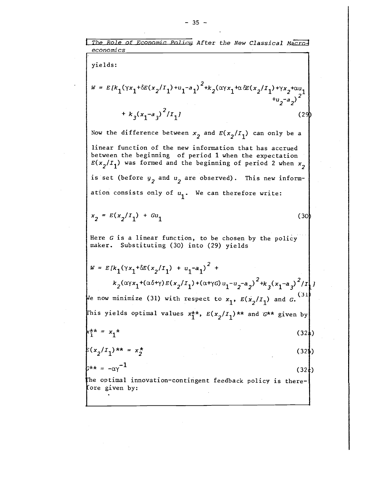The Rolle of Economic Policy after the New Classical Macrad  
\neconomics  
\nyields:  
\n
$$
W = E[k_1(\gamma x_1 + \delta E(x_2/I_1) + u_1 - a_1)^2 + k_2(\alpha \gamma x_1 + \alpha \delta E(x_2/I_1) + \gamma x_2 + \alpha u_1 + u_2 - a_2)^2
$$
\n
$$
+ k_3(x_1 - a_3)^2/I_1
$$
\nNow the difference between  $x_2$  and  $E(x_2/I_1)$  can only be a  
\nlinear function of the new information that has accrued  
\nbetween the beginning of period 1 when the expectation  
\n $E(x_2/I_1)$  was formed and the beginning of period 2 when  $x_2$   
\nis set (before  $y_2$  and  $u_2$  are observed). This new informa-  
\nation consists only of  $u_1$ . We can therefore write:  
\n $x_2 = E(x_2/I_1) + \alpha u_1$  (30)  
\nHere G is a linear function, to be chosen by the policy  
\nmaster. Substituting (30) into (29) yields  
\n
$$
W = E[k_1(\gamma x_1 + \delta E(x_2/I_1) + u_1 - a_1)^2 + k_2(\alpha \gamma x_1 + \delta E(x_2/I_1) + (\alpha + \gamma G) u_1 - u_2 - a_2)^2 + k_3(x_1 - a_3)^2/I_1
$$
\n
$$
k_1 = \alpha \gamma^{-1}
$$
\nWe now minimize (31) with respect to  $x_1$ ,  $E(x_2/I_1)$  and  $G$ .<sup>311</sup>  
\nThis yields optimal values  $x_1^{**}$ ,  $E(x_2/I_1)^{**}$  and  $G$ \* given by  
\n $x_1^{**} = x_1^*$  (324)  
\n $E(x_2/I_1)^{**} = x_2^*$  (325)  
\n $g$ 

 $\mathcal{L}^{\text{max}}_{\text{max}}$ 

 $\mathcal{L}^{\text{max}}_{\text{max}}$  and  $\mathcal{L}^{\text{max}}_{\text{max}}$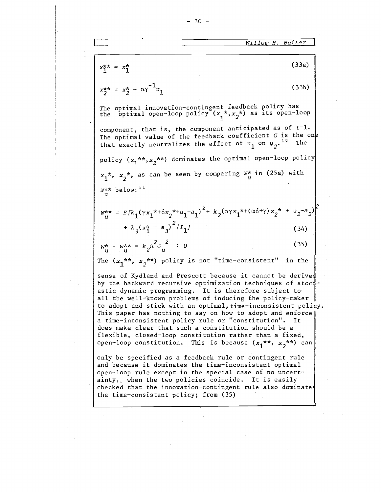$= x_1^*$  (33a)  $x_2^{**} = x_2^* - \alpha \gamma^{-1} u_1$  $-\alpha \gamma^{-1} u_1$  (33b) The optimal innovation—contingent feedback policy has the optimal open-loop policy  $(x_{1}*,x_{2}*)$  as its open-loop component, that is, the component anticipated as of  $t=1$ . The optimal value of the feedback coefficient  $G$  is the one that exactly neutralizes the effect of  $u_1$  on  $y_2$ .<sup>10</sup> policy  $(x_1^{**},x_2^{**})$  dominates the optimal open-loop policy  $x_1^*$ ,  $x_2^*$ , as can be seen by comparing  $W_u^*$  in (25a) with  $W_{\mathbf{u}}^{**}$  below:  $11$   $w_u^{**} = E[k_1(\gamma x_1^{*+ \delta x_2^{*}+u_1-a_1)}^2 + k_2(\alpha \gamma x_1^{*+ (\alpha \delta+\gamma)} x_2^{*} + u_2^{-a_2})$ + k<sub>3</sub>(x<sup>\*</sup> - a<sub>3</sub>)<sup>2</sup>/I<sub>1</sub>] (34)  $w_u^* - w_u^{**} = k_2 \alpha^2 \sigma_u^2 > 0$  (35) The  $(x_1^{**}, x_2^{**})$  policy is not "time-consistent" in the sense of Kydland and Prescott because it cannot be derive by the backward recursive optimization techniques of stochastic dynamic programming. It is therefore subject to all the well-known problems of inducing the policy-maker to adopt and stick with an optimal, time—inconsistent policy. This paper has nothing to say on how to adopt and enforce a time—inconsistent policy rule or "constitution". It does make clear that such a constitution should be a flexible, closed—loop constitution rather than a fixed, open-loop constitution. This is because  $(x_1^{**}, x_2^{**})$  can only be specified as a feedback rule or contingent rule and because it dominates the time—inconsistent optimal open—loop rule except in the special case of no uncert ainty, when the two policies coincide. It is easily checked that the innovation—contingent rule also dominate the time—consistent policy; from (35)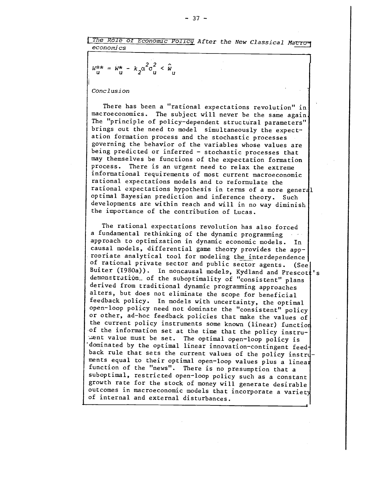$$
W_u^{\star\star} = W_u^{\star} - k_2 \alpha^2 \sigma_u^2 < \hat{W}_u
$$

Conclusion

There has been a "rational expectations revolution" in macroeconomics. The subject will never be the same again The "principle of policy-dependent structural parameters" brings out the need to model simultaneously the expectation formation process and the stochastic processes governing the behavior of the variables whose values are being predicted or inferred — stochastic processes that may themselves be functions of the expectation formation process. There is an urgent need to relax the extreme informational requirements of most current macroeconomic rational expectations models and to reformulate the rational expectations hypothesis in terms of a more general optimal Bayesian prediction and inference theory. Such developments are within reach and will in no way diminish the importance of the contribution of Lucas.

The rational expectations revolution has also forced a fundamental rethinking of the dynamic programming approach to optimization in dynamic economic models. In causal models, differential game theory provides the app— • ropriate analytical tool for modeling the interdependence of rational private sector and public sector agents. (See<br>Buiter (I980a)). In noncausal models, Kydland and Prescott's demonstration, of the suboptimality of "consistent" plans derived from traditional dynamic programming approaches alters, but does not eliminate the scope for beneficial feedback policy. In models with uncertainty, the optimal open—loop policy need not dominate the "consistent" policy or other, ad—hoc feedback policies that make the values of the current policy instruments some known (linear) functio of the information set at the time that the policy instru ment value must be set. The optimal open-loop policy is •dominated by the optimal linear innovation—contingent feed back rule that sets the current values of the policy instr ments equal to their optimal open-loop values plus a linear function of the "news". There is no presumption that a suboptimal, restricted open—loop policy such as a constant growth rate for the stock of money will generate desirable outcomes in macroeconomic models that incorporate a variet of internal and external disturbances.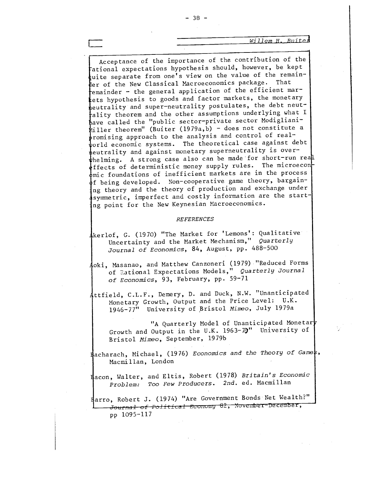Acceptance of the importance of tha contribution of the ational expectations hypothesis should, however, be kept quite separate from one's view on the value of the remainder of the New Classical Macroeconomics package.  $t$ emainder - the general application of the efficient marets hypothesis to goods and factor markets, the monetary peutrality and super-neutrality postulates, the debt neutality theorem and the other assumptions underlying what <sup>I</sup> have called the "public sector-private sector Modigliani-[iller theorem" (Buiter (1979a,b) — does not constitute a romising approach to the analysis and control of real orid economic systems. The theoretical case against debt  $\frac{1}{2}$ eutrality and against monetary superneutrality is overhelming. A strong case also can be made for short—run re  $\frac{1}{2}$ ffects of deterministic money supply rules. The microecon mic foundations of inefficient markets are in the process  $\frac{1}{2}$ f being developed. Non-cooperative game theory, bargainng theory and the theory of production and exchange under symmetric, imperfect and costly information are the start ng point for the New Keynesian Macroeconomics.

## **REFERENCES**

Akerlof, G. (1970) "The Market for 'Lemons': Qualitative Uncertainty and the Market Mechanism," Quarterly Journal of Economics, 84, August, pp. 488-500

Aoki, Masanao, and Matthew Canzoneri (1979) "Reduced Forms of ational Expectations Models," Quarterly Journal of Economics, 93, February, pp. 59-71

ttfield, C.LF., Demery, D. and Duck, N.W. "Unanticipated Monetary Growth, Output and the Price Level: U.K. 1946—77" University of Bristol Mimeo, July l979a

"A Quarterly Model of Unanticipated Monetar Growth and Output in the U.K. 1963-70" University of Bristol Mimeo, September, 1979b

 $\frac{1}{4}$ acharach, Michael, (1976) Economics and the Theory of Game: Macmillan, London

 $\sharp$ acon, Walter, and Eltis, Robert (1978) Britain's Economic Problem: Too Few producers. 2nd. ed. Macmillan

Harro, Robert J. (1974) "Are Government Bonds Net Wealth?" Journal of Political Economy 82, November-December, pp 1095—117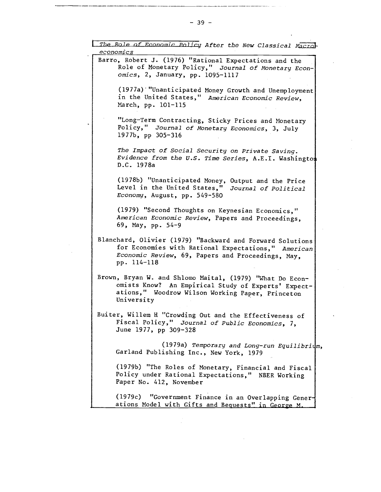| The Role of Economic Policy After the New Classical Macro-                                                                                                                           |
|--------------------------------------------------------------------------------------------------------------------------------------------------------------------------------------|
| <u>economics</u>                                                                                                                                                                     |
| Barro, Robert J. (1976) "Rational Expectations and the<br>Role of Monetary Policy," Journal of Monetary Econ-<br>omics, 2, January, pp. 1095-1117                                    |
| (1977a) "Unanticipated Money Growth and Unemployment<br>in the United States," American Economic Review,<br>March, pp. 101-115                                                       |
| "Long-Term Contracting, Sticky Prices and Monetary<br>Policy," Journal of Monetary Economics, 3, July<br>1977b, pp 305-316                                                           |
| The Impact of Social Security on Private Saving.<br>Evidence from the U.S. Time Series, A.E.I. Washington<br>D.C. 1978a                                                              |
| (1978b) "Unanticipated Money, Output and the Price<br>Level in the United States," Journal of Political<br>Economy, August, pp. 549-580                                              |
| (1979) "Second Thoughts on Keynesian Economics,"<br>American Economic Review, Papers and Proceedings,<br>69, May, pp. 54-9                                                           |
| Blanchard, Olivier (1979) "Backward and Forward Solutions<br>for Economies with Rational Expectations," American<br>Economic Review, 69, Papers and Proceedings, May,<br>pp. 114-118 |
| Brown, Bryan W. and Shlomo Maital, (1979) "What Do Econ-<br>omists Know? An Empirical Study of Experts' Expect-<br>ations," Woodrow Wilson Working Paper, Princeton<br>University    |
| Buiter, Willem H "Crowding Out and the Effectiveness of<br>Fiscal Policy," Journal of Public Economics, 7,<br>June 1977, pp 309-328                                                  |
| (1979a) Temporary and Long-run Equilibrium,<br>Garland Publishing Inc., New York, 1979                                                                                               |
| (1979b) "The Roles of Monetary, Financial and Fiscal<br>Policy under Rational Expectations," NBER Working<br>Paper No. 412, November                                                 |
| (1979c) "Government Finance in an Overlapping Gener-<br>ations Model with Gifts and Bequests" in George M.                                                                           |

 $\frac{1}{2}$ 

— 39 —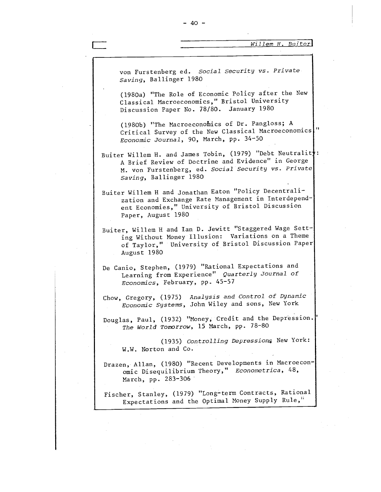$-40 -$ 

von Furstenberg ed. Social Security vs. Private Saving, Ballinger 1980 (1980a) "The Role of Economic Policy after the New Classical Macroeconomics," Bristol University Discussion Paper No. 78/80. January 1980 (1980b) "The Macroeconomics of Dr. Pangloss; A Critical Survey of the New Classical Macroeconomics " Economic Journal, 90, March, pp. 34-50 Buiter Willem H. and James Tobin, (1979) "Debt Neutrality: A Brief Review of Doctrine and Evidence" in George M. von Furstenberg, ed. Social Security vs. Private Saving, Ballinger 1980 Buiter Willem H and Jonathan Eaton "Policy Decentralization and Exchange Rate Management in Interdependent Economies," University of Bristol Discussion Paper, August 1980 Buiter, Willem H and Ian D. Jewitt "Staggered Wage Setting Without Money Illusion: Variations on a Theme of Taylor," University of Bristol Discussion Paper August 1980 De Canio, Stephen, (1979) "Rational Expectations and Learning from Experience" Quarterly Journal of Economics, February, pp. 45—57 Chow, Gregory, (1975) Analysis and Control of Dynamic Economic Systems, John Wiley and sons, New York Douglas, Paul, (1932) "Money, Credit and the Depression. The World Tomorrow, 15 March, pp. 78-80 (1935) Controlling Depressions New York: W.W. Norton and Co. Drazen, Allan, (1980) "Recent Developments in Macroeconomic Disequilibrium Theory," Econometrica, 48, March, pp. 283—306 Fischer, Stanley, (1979) "Long—term Contracts, Rational Expectations and the Optimal Money Supply Rule,"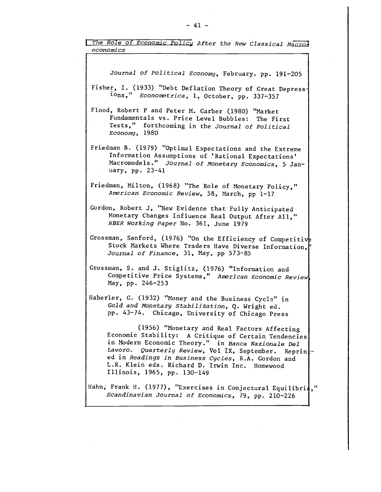The Role of Economic Policy After the New Classical Macros economics

Journal of Political Economy, February. pp. 191—205 Fisher, I. (1933) "Debt Deflation Theory of Great Depress ions," Econometrica, 1, October, pp. 337-357 Flood, Robert P and Peter M. Garber (1980) "Market Fundamentals vs. Price Level Bubbles: The First Tests," forthcoming in the Journal of Political Economy, 1980 Friedman B. (1979) "Optimal Expectations and the Extreme Information Assumptions of 'Rational Expectations' Macromodels." Journal of Monetary Economics, 5 January, pp. 23—41 Friedman, Milton, (1968) "The Role of Monetary Policy," American Economic Review, 58, March, pp 1-17 Gordon, Robert J, "New Evidence that Fully Anticipated Monetary Changes Influence Real Output After All," NBER Working Paper No. 361, June 1979 Grossman, Sanford, (1976) "On the Efficiency of Competitiv Stock Markets Where Traders Have Diverse Information, Journal of Finance, 31, May, pp 573-85 Grossman, S. and J. Stiglitz, (1976) "Information and Competitive Price Systems," American Economic Review May, pp. 246—253 Haberler, G. (1932) "Money and the Business Cycle" in Gold and Monetary Stabilization, Q. Wright ed. pp. 43—74. Chicago, University of Chicago Press. (1956) "Monetary and Real Factors Affecting Economic Stability: A Critique of Certain Tendencies in Modern Economic Theory." in Banca Nazionale Del Lavoro. Quarterly Review, Vol IX, September. Reprint ed in Readings in Business Cycles, R.A. Gordon and L.R. Klein eds. Richard D. Irwin Inc. Homewood Illinois, 1965, pp. 130—149 Hahn, Frank H. (1977), "Exercises in Conjectural Equilibria," Scandinavian Journal of Economics, 79, pp. 210—226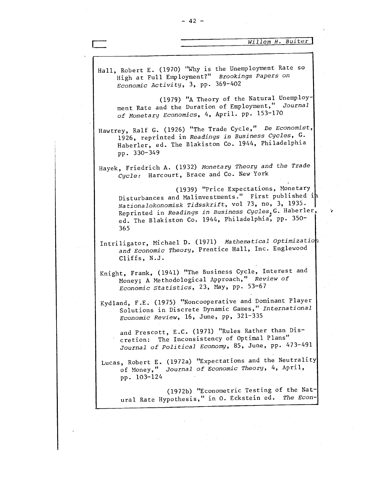٦

| Hall, Robert E. (1970) "Why is the Unemployment Rate so<br>High at Full Employment?" Brookings Papers on<br>Economic Activity, 3, pp. 369-402                                                                                                                             |   |
|---------------------------------------------------------------------------------------------------------------------------------------------------------------------------------------------------------------------------------------------------------------------------|---|
| (1979) "A Theory of the Natural Unemploy-<br>ment Rate and the Duration of Employment," Journal<br>of Monetary Economics, 4, April. pp. 153-170                                                                                                                           |   |
| Hawtrey, Ralf G. (1926) "The Trade Cycle," De Economist,<br>1926, reprinted in Readings in Business Cycles, G.<br>Haberler, ed. The Blakiston Co. 1944, Philadelphia<br>pp. 330-349                                                                                       |   |
| Hayek, Friedrich A. (1932) Monetary Theory and the Trade<br>Cycle: Harcourt, Brace and Co. New York                                                                                                                                                                       |   |
| (1939) "Price Expectations, Monetary<br>Disturbances and Malinvestments." First published in<br>Nationalokonomisk Tidsskrift, vol 73, no, 3, 1935.<br>Reprinted in Readings in Business Cycles, G. Haberler,<br>ed. The Blakiston Co. 1944, Philadelphia, pp. 350-<br>365 | V |
| Intriligator, Michael D. (1971) Mathematical Optimization<br>and Economic Theory, Prentice Hall, Inc. Englewood<br>Cliffs, N.J.                                                                                                                                           |   |
| Knight, Frank, (1941) "The Business Cycle, Interest and<br>Money; A Methodological Approach," Review of<br>Economic Statistics, 23, May, pp. 53-67                                                                                                                        |   |
| Kydland, F.E. (1975) "Noncooperative and Dominant Player<br>Solutions in Discrete Dynamic Games," International<br>Economic Review, 16, June, pp, 321-335                                                                                                                 |   |
| and Prescott, E.C. (1971) "Rules Rather than Dis-<br>The Inconsistency of Optimal Plans"<br>cretion:<br>Journal of Political Economy, 85, June, pp. 473-491                                                                                                               |   |
| Lucas, Robert E. (1972a) "Expectations and the Neutrality<br>Journal of Economic Theory, 4, April,<br>of Money,"<br>pp. 103-124                                                                                                                                           |   |
| (1972b) "Econometric Testing of the Nat-<br>ural Rate Hypothesis," in O. Eckstein ed. The Econ-                                                                                                                                                                           |   |

 $\label{eq:2} \frac{1}{2} \sum_{i=1}^n \frac{1}{2} \sum_{i=1}^n \frac{1}{2} \sum_{j=1}^n \frac{1}{2} \sum_{i=1}^n \frac{1}{2} \sum_{i=1}^n \frac{1}{2} \sum_{j=1}^n \frac{1}{2} \sum_{j=1}^n \frac{1}{2} \sum_{j=1}^n \frac{1}{2} \sum_{j=1}^n \frac{1}{2} \sum_{j=1}^n \frac{1}{2} \sum_{j=1}^n \frac{1}{2} \sum_{j=1}^n \frac{1}{2} \sum_{j=1}^n \frac{1}{$ 

 $-42 -$ 

I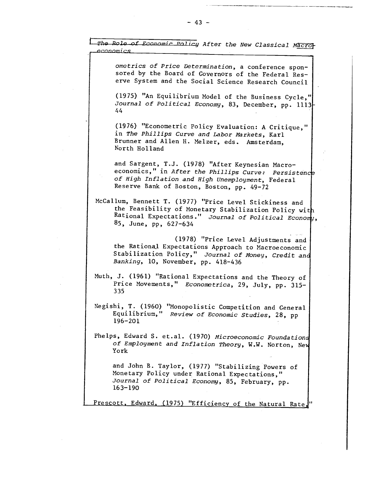The Role of Economic Policy After the New Classical Macro-<br>economics

ometrics of Price Determination, a conference sponsored by the Board of Governors of the Federal Reserve System and the Social Science Research Council

(1975) "An Equilibrium Model of the Business Cycle," Journal of Political Economy, 83, December, pp. 1113 44

(1976) "Econometric Policy Evaluation: A Critique," in The Phillips Curve and Labor Markets, Karl Brunner and Allen H. Melzer, eds.. Amsterdam, North Holland

and Sargent, T.J. (1978) "After Keynesian Macroeconomics," in After the Phillips Curve: Persistence of High Inflation and High Unemployment, Federal Reserve Bank of Boston, Boston, pp. 49—72

McCallum, Bennett T. (1977) "Price Level Stickiness and the Feasibility of Monetary Stabilization Policy wit Rational Expectations." Journal of Political Economy, 85, June, pp, 627—634

(1978) "Price Level Adjustments and the Rational Expectations Approach to Macroeconomic Stabilization Policy," Journal of Money, Credit and Banking, 10, November, pp. 418—436

Muth, J. (1961) "Rational Expectations and the Theory of Price Movements," Econometrica, 29, July, pp. 315-335

Negishi, T. (1960) "Monopolistic Competition and General Equilibrium," Review of Economic Studies, 28, pp 196—201

Phelps, Edward S. et.al. (1970) Microeconomic Foundations of Employment and Inflation Theory, W.W. Norton, New York

and John B. Taylor, (1977) "Stabilizing Powers of Monetary Policy under Rational Expectations," Journal of Political Economy, 85, February, pp. 163—190

Prescott, Edward, (1975) "Efficiency of the Natural Rate,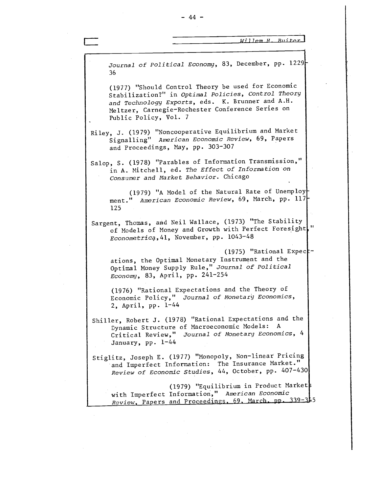Journal of Political Economy, 83, December, pp. 1229 36 (1977) "Should Control Theory be used for Economic Stabilization?" in Optimal Policies, Control Theory and Technology Exports, eds. K. Brunner and A.H. Meltzer, Carnegie—Rochester Conference Series on Public Policy, Vol. 7 Riley, J. (1979) "Noncooperative Equilibrium and Market Signalling" American Economic Review, 69, Papers and Proceedings, May, pp. 303-307 Salop, S. (1978) "Parables of Information Transmission," in A. Mitchell, ed. The Effect of Information on Consumer and Market Behavior. Chicago (1979) "A Model of the Natural Rate of Unemploy ment." American Economic Review, 69, March, pp. 117 125 Sargent, Thomas, and Neil Wallace, (1973) "The Stability of Models of Money and Growth with Perfect Foresight."  $Econometricq, 41$ , November, pp. 1043-48 (1975) "Rational Expec ations, the Optimal Monetary Instrument and the Optimal Money Supply Rule," Journal of Political Economy, 83, April, pp. 241—254 (1976) "Rational Expectations and the Theory of Economic Policy," Journal of Monetary Economics, 2, April, pp. 1—44 Shiller, Robert J. (1978) "Rational Expectations and the Dynamic Structure of Macroeconomic Models: A Critical Review," Journal of Monetary Economics, 4 January, pp. 1—44 Stiglitz, Joseph E. (1977) "Monopoly, Non—linear Pricing and Imperfect Information: The Insurance Market." Review of Economic Studies, 44, October, pp. 407—430 (1979) "Equilibrium in Product Market with Imperfect Information," American Economic Review, Papers and Proceedings. 69. March. pp. 339-345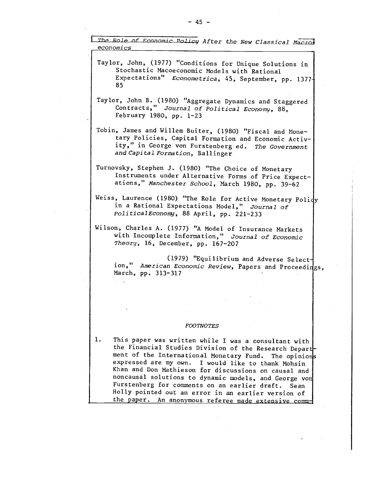The Role of Economic Policy After the New Classical Macroeconomics

- Taylor, John, (1977) "Conditions for Unique Solutions in Stochastic Macoeconomic Models with Rational Expectations" Econometrica, 45, September, pp. 1377-85
- Taylor, John B. (1980) "Aggregate Dynamics and Staggered Contracts," Journal of Political Economy, 88, February 1980, pp. 1-23
- Tobin, James and Willem Buiter, (1980) "Fiscal and Monetary Policies, Capital Formation and Economic Activity," in George von Furstenberg ed. The Government and Capital Formation, Ballinger
- Turnovsky, Stephen J. (1980) "The Choice of Monetary Instruments under Alternative Forms of Price Expectations," Manchester School, March 1980, pp. 39—62
- Weiss, Laurence (1980) "The Role for Active Monetary Polidy in a Rational Expectations Model," Journal of PoliticalEconomy, 88 April, pp. 221—233
- Wilson, Charles A. (1977) "A Model of Insurance Markets with Incomplete Information," Journal of Economic Theory, 16, December, pp. 167—207

(1979) "Equilibrium and Adverse Selection," American Economic Review, Papers and Proceedings, March, pp. 313-317  $\sqrt{2}$  .

#### FOOTNOTES

1. This paper was written while I was a consultant with the Financial Studies Division of the Research Depart ment of the International Monetary Fund. The opinions expressed are my own. I would like to thank Mohsin Khan and Don Mathieson for discussions on causal and noncausal solutions to dynamic models, and George von Furstenberg for comments on an earlier draft. Sean Holly pointed out an error in an earlier version of the paper. An anonymous referee made extensive comm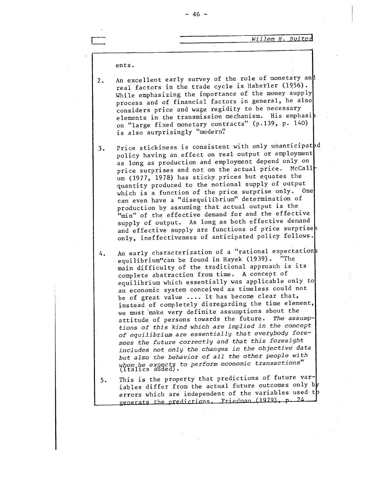ents.

- 2. An excellent early survey of the role of monetary and real factors in the trade cycle is Haberler (1956). While emphasizing the importance of the money supply process and of financial factors in general, he also considers price and wage regidity to be necessary elements in the transmission mechanism. His emphasis on "large fixed monetary contracts" (p.l39, p. 140) is also surprisingly "modern'
- 3. Price stickiness is consistent with only unanticipated policy having an effect on real output or employment as long as production and employment depend only on price surprises and not on the actual price. McCall um (1977, 1978) has sticky prices but equates the quantity produced to the notional supply of output which is a function of the price surprise only. One can even have a "disequilibrium" determination of production by assuming that actual output is the "min" of the effective demand for and the effective supply of output. As long as both effective demand and effective supply are functions of price surprise only, ineffectiveness of anticipated policy follows.
- 4. An early characterization of a "rational expectation equilibrium"can be found in Hayek (1939). "The main difficulty of the traditional approach is its complete abstraction from time. A concept of equilibrium which essentially was applicable only to an economic system conceived as timeless could not be of great value .... It has become clear that, instead of completely disregarding the time element, we must make very definite assumptions about the attitude of persons towards the future. The assumptions of this kind which are implied in the concept of equilibrium are essentially that everybody foresees the future correctly and that this foresight includes not only the changes in the objective data but also the behavior of all the other people with whom he expects to perform economic transactions" (Italics added).
- 5. This is the property that predictions of future variables differ from the actual future outcomes only by errors which are independent of the variables used tp generate the predictions. Friedman (1979), p. 24